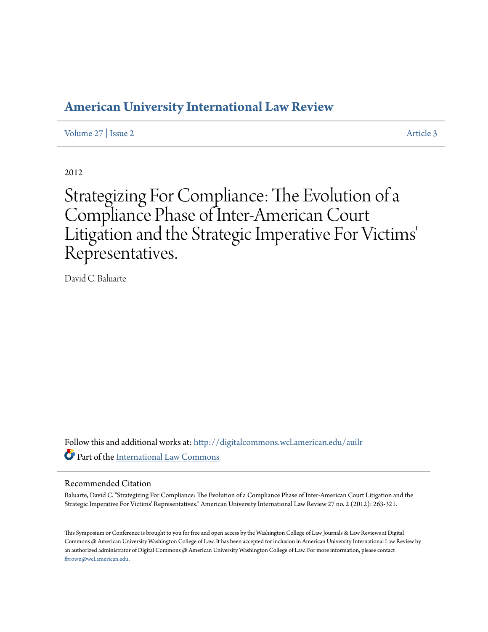# **[American University International Law Review](http://digitalcommons.wcl.american.edu/auilr?utm_source=digitalcommons.wcl.american.edu%2Fauilr%2Fvol27%2Fiss2%2F3&utm_medium=PDF&utm_campaign=PDFCoverPages)**

[Volume 27](http://digitalcommons.wcl.american.edu/auilr/vol27?utm_source=digitalcommons.wcl.american.edu%2Fauilr%2Fvol27%2Fiss2%2F3&utm_medium=PDF&utm_campaign=PDFCoverPages) | [Issue 2](http://digitalcommons.wcl.american.edu/auilr/vol27/iss2?utm_source=digitalcommons.wcl.american.edu%2Fauilr%2Fvol27%2Fiss2%2F3&utm_medium=PDF&utm_campaign=PDFCoverPages) [Article 3](http://digitalcommons.wcl.american.edu/auilr/vol27/iss2/3?utm_source=digitalcommons.wcl.american.edu%2Fauilr%2Fvol27%2Fiss2%2F3&utm_medium=PDF&utm_campaign=PDFCoverPages)

2012

Strategizing For Compliance: The Evolution of a Compliance Phase of Inter-American Court Litigation and the Strategic Imperative For Victims' Representatives.

David C. Baluarte

Follow this and additional works at: [http://digitalcommons.wcl.american.edu/auilr](http://digitalcommons.wcl.american.edu/auilr?utm_source=digitalcommons.wcl.american.edu%2Fauilr%2Fvol27%2Fiss2%2F3&utm_medium=PDF&utm_campaign=PDFCoverPages) Part of the [International Law Commons](http://network.bepress.com/hgg/discipline/609?utm_source=digitalcommons.wcl.american.edu%2Fauilr%2Fvol27%2Fiss2%2F3&utm_medium=PDF&utm_campaign=PDFCoverPages)

#### Recommended Citation

Baluarte, David C. "Strategizing For Compliance: The Evolution of a Compliance Phase of Inter-American Court Litigation and the Strategic Imperative For Victims' Representatives." American University International Law Review 27 no. 2 (2012): 263-321.

This Symposium or Conference is brought to you for free and open access by the Washington College of Law Journals & Law Reviews at Digital Commons @ American University Washington College of Law. It has been accepted for inclusion in American University International Law Review by an authorized administrator of Digital Commons @ American University Washington College of Law. For more information, please contact [fbrown@wcl.american.edu](mailto:fbrown@wcl.american.edu).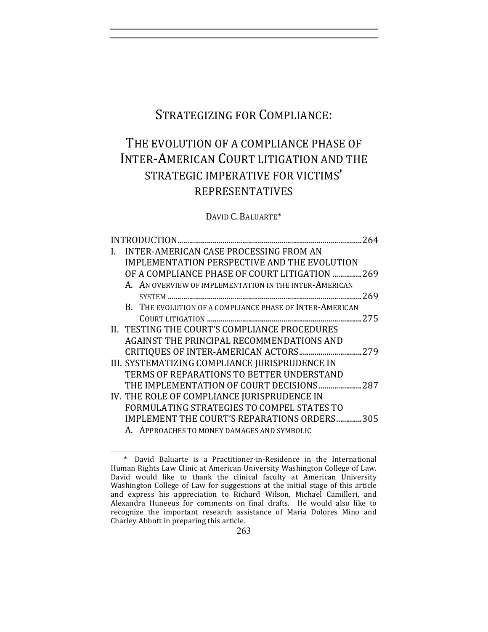# STRATEGIZING FOR COMPLIANCE:

# THE EVOLUTION OF A COMPLIANCE PHASE OF INTER-AMERICAN COURT LITIGATION AND THE STRATEGIC IMPERATIVE FOR VICTIMS' REPRESENTATIVES

DAVID C. BALUARTE\*

|  |                                                          | .264 |
|--|----------------------------------------------------------|------|
|  | <b>INTER-AMERICAN CASE PROCESSING FROM AN</b>            |      |
|  | <b>IMPLEMENTATION PERSPECTIVE AND THE EVOLUTION</b>      |      |
|  | OF A COMPLIANCE PHASE OF COURT LITIGATION  269           |      |
|  | A. AN OVERVIEW OF IMPLEMENTATION IN THE INTER-AMERICAN   |      |
|  |                                                          | .269 |
|  | B. THE EVOLUTION OF A COMPLIANCE PHASE OF INTER-AMERICAN |      |
|  |                                                          |      |
|  | II. TESTING THE COURT'S COMPLIANCE PROCEDURES            |      |
|  | AGAINST THE PRINCIPAL RECOMMENDATIONS AND                |      |
|  |                                                          |      |
|  | III. SYSTEMATIZING COMPLIANCE JURISPRUDENCE IN           |      |
|  | TERMS OF REPARATIONS TO BETTER UNDERSTAND                |      |
|  | THE IMPLEMENTATION OF COURT DECISIONS 287                |      |
|  | IV. THE ROLE OF COMPLIANCE JURISPRUDENCE IN              |      |
|  | FORMULATING STRATEGIES TO COMPEL STATES TO               |      |
|  | <b>IMPLEMENT THE COURT'S REPARATIONS ORDERS305</b>       |      |
|  | A. APPROACHES TO MONEY DAMAGES AND SYMBOLIC              |      |

<sup>\*</sup> David Baluarte is a Practitioner-in-Residence in the International Human Rights Law Clinic at American University Washington College of Law. David would like to thank the clinical faculty at American University Washington College of Law for suggestions at the initial stage of this article and express his appreciation to Richard Wilson, Michael Camilleri, and Alexandra Huneeus for comments on final drafts. He would also like to recognize the important research assistance of Maria Dolores Mino and Charley Abbott in preparing this article.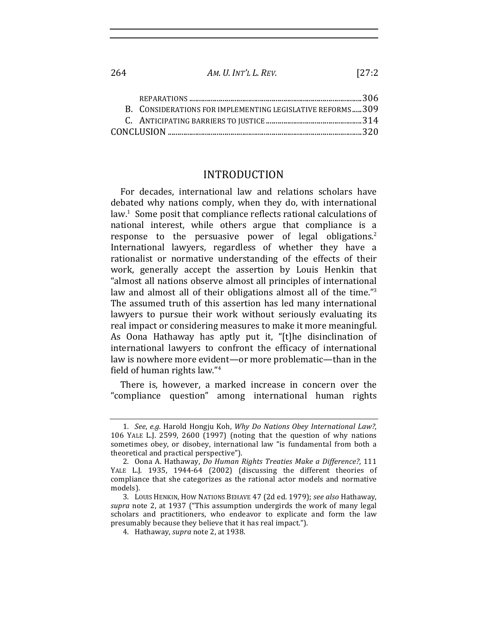| B. CONSIDERATIONS FOR IMPLEMENTING LEGISLATIVE REFORMS309 |  |
|-----------------------------------------------------------|--|
|                                                           |  |
|                                                           |  |

 $AM, U, INT'L, L, REV.$ 

 $127.2$ 

### **INTRODUCTION**

For decades, international law and relations scholars have debated why nations comply, when they do, with international law.<sup>1</sup> Some posit that compliance reflects rational calculations of national interest, while others argue that compliance is a response to the persuasive power of legal obligations.<sup>2</sup> International lawyers, regardless of whether they have a rationalist or normative understanding of the effects of their work, generally accept the assertion by Louis Henkin that "almost all nations observe almost all principles of international law and almost all of their obligations almost all of the time."<sup>3</sup> The assumed truth of this assertion has led many international lawyers to pursue their work without seriously evaluating its real impact or considering measures to make it more meaningful. As Oona Hathaway has aptly put it, "[t]he disinclination of international lawyers to confront the efficacy of international law is nowhere more evident—or more problematic—than in the field of human rights law."<sup>4</sup>

There is, however, a marked increase in concern over the "compliance question" among international human rights

264

<sup>1.</sup> See, e.g. Harold Hongju Koh, Why Do Nations Obey International Law?, 106 YALE L.J. 2599, 2600 (1997) (noting that the question of why nations sometimes obey, or disobey, international law "is fundamental from both a theoretical and practical perspective").

<sup>2.</sup> Oona A. Hathaway, Do Human Rights Treaties Make a Difference?, 111 YALE L.J. 1935, 1944-64 (2002) (discussing the different theories of compliance that she categorizes as the rational actor models and normative models).

<sup>3.</sup> LOUIS HENKIN, HOW NATIONS BEHAVE 47 (2d ed. 1979); see also Hathaway, supra note 2, at 1937 ("This assumption undergirds the work of many legal scholars and practitioners, who endeavor to explicate and form the law presumably because they believe that it has real impact.").

<sup>4.</sup> Hathaway, supra note 2, at 1938.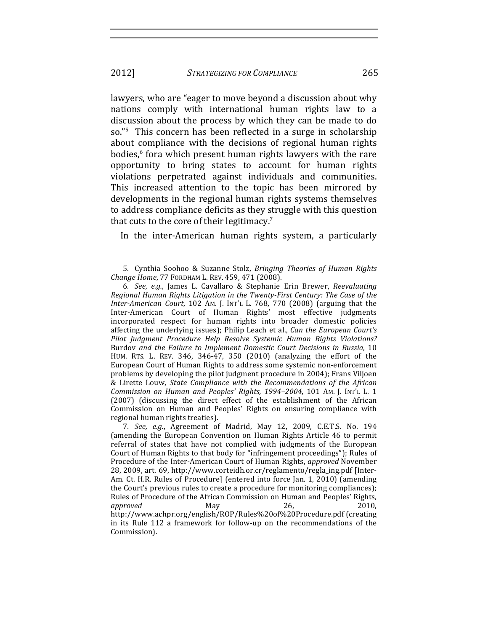lawyers, who are "eager to move beyond a discussion about why nations comply with international human rights law to a discussion about the process by which they can be made to do so."<sup>5</sup> This concern has been reflected in a surge in scholarship about compliance with the decisions of regional human rights bodies,<sup>6</sup> fora which present human rights lawyers with the rare opportunity to bring states to account for human rights violations perpetrated against individuals and communities. This increased attention to the topic has been mirrored by developments in the regional human rights systems themselves to address compliance deficits as they struggle with this question that cuts to the core of their legitimacy.<sup>7</sup>

In the inter-American human rights system, a particularly

265

<sup>5.</sup> Cynthia Soohoo & Suzanne Stolz, Bringing Theories of Human Rights Change Home, 77 FORDHAM L. REV. 459, 471 (2008).

<sup>6.</sup> See, e.g., James L. Cavallaro & Stephanie Erin Brewer, Reevaluating Regional Human Rights Litigation in the Twenty-First Century: The Case of the Inter-American Court, 102 AM. J. INT'L L. 768, 770 (2008) (arguing that the Inter-American Court of Human Rights' most effective judgments incorporated respect for human rights into broader domestic policies affecting the underlying issues); Philip Leach et al., Can the European Court's Pilot Judgment Procedure Help Resolve Systemic Human Rights Violations? Burdov and the Failure to Implement Domestic Court Decisions in Russia, 10 HUM. RTS. L. REV. 346, 346-47, 350 (2010) (analyzing the effort of the European Court of Human Rights to address some systemic non-enforcement problems by developing the pilot judgment procedure in 2004); Frans Viljoen & Lirette Louw, State Compliance with the Recommendations of the African Commission on Human and Peoples' Rights, 1994-2004, 101 AM. J. INT'L L. 1 (2007) (discussing the direct effect of the establishment of the African Commission on Human and Peoples' Rights on ensuring compliance with regional human rights treaties).

<sup>7.</sup> See, e.g., Agreement of Madrid, May 12, 2009, C.E.T.S. No. 194 (amending the European Convention on Human Rights Article 46 to permit referral of states that have not complied with judgments of the European Court of Human Rights to that body for "infringement proceedings"); Rules of Procedure of the Inter-American Court of Human Rights, *approved* November 28, 2009, art. 69, http://www.corteidh.or.cr/reglamento/regla\_ing.pdf [Inter-Am. Ct. H.R. Rules of Procedure] (entered into force Jan. 1, 2010) (amending the Court's previous rules to create a procedure for monitoring compliances); Rules of Procedure of the African Commission on Human and Peoples' Rights, approved May 26, 2010. http://www.achpr.org/english/ROP/Rules%20of%20Procedure.pdf (creating in its Rule 112 a framework for follow-up on the recommendations of the Commission).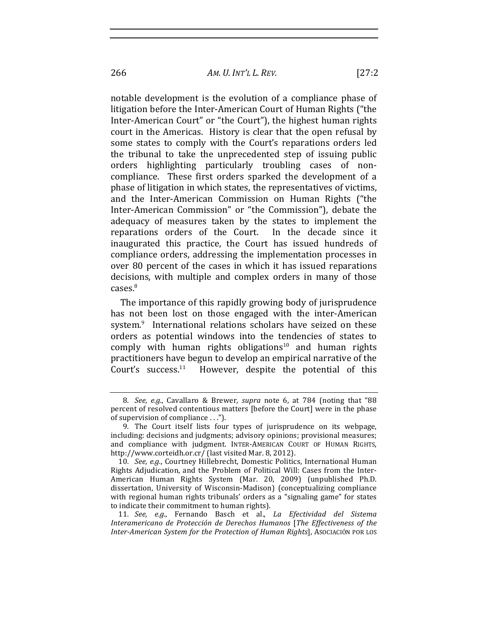266 *AM. U. INT'L!L. REV.* [27:2

notable development is the evolution of a compliance phase of litigation before the Inter-American Court of Human Rights ("the Inter-American Court" or "the Court"), the highest human rights court in the Americas. History is clear that the open refusal by some states to comply with the Court's reparations orders led the tribunal to take the unprecedented step of issuing public orders highlighting particularly troubling cases of noncompliance. These first orders sparked the development of a phase of litigation in which states, the representatives of victims, and the Inter-American Commission on Human Rights ("the Inter-American Commission" or "the Commission"), debate the adequacy of measures taken by the states to implement the reparations orders of the Court. In the decade since it inaugurated this practice, the Court has issued hundreds of compliance orders, addressing the implementation processes in over 80 percent of the cases in which it has issued reparations decisions, with multiple and complex orders in many of those

The importance of this rapidly growing body of jurisprudence has not been lost on those engaged with the inter-American system.<sup>9</sup> International relations scholars have seized on these orders as potential windows into the tendencies of states to comply with human rights obligations<sup>10</sup> and human rights practitioners have begun to develop an empirical narrative of the Court's success.<sup>11</sup> However, despite the potential of this

 $cases<sup>8</sup>$ 

<sup>8</sup>*. See, e.g.*, Cavallaro & Brewer, *supra* note 6, at 784 (noting that "88 percent of resolved contentious matters [before the Court] were in the phase of supervision of compliance  $\ldots$ ").

<sup>9.</sup> The Court itself lists four types of jurisprudence on its webpage, including: decisions and judgments; advisory opinions; provisional measures; and compliance with judgment. INTER-AMERICAN COURT OF HUMAN RIGHTS, http://www.corteidh.or.cr/ (last visited Mar. 8, 2012).

<sup>10.</sup> *See, e.g.*, Courtney Hillebrecht, Domestic Politics, International Human Rights Adjudication, and the Problem of Political Will: Cases from the Inter-American Human Rights System (Mar. 20, 2009) (unpublished Ph.D. dissertation, University of Wisconsin-Madison) (conceptualizing compliance with regional human rights tribunals' orders as a "signaling game" for states to indicate their commitment to human rights).

<sup>11.</sup> See, e.g., Fernando Basch et al., *La Efectividad del Sistema* Interamericano de Protección de Derechos Humanos [The Effectiveness of the *Inter-American System for the Protection of Human Rights*], ASOCIACIÓN POR LOS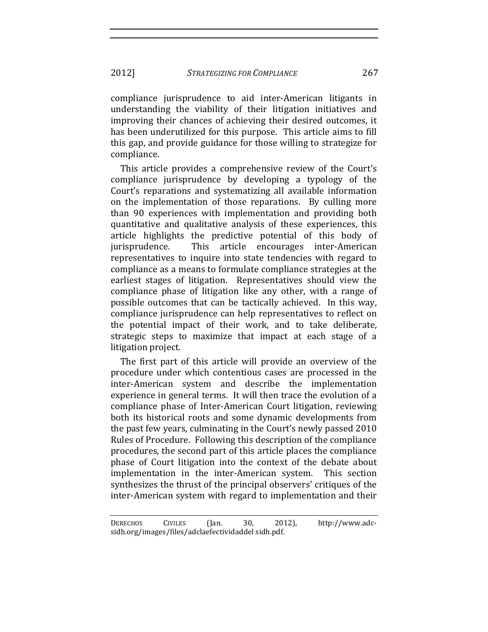2012] *STRATEGIZING FOR COMPLIANCE* 267

compliance jurisprudence to aid inter-American litigants in understanding the viability of their litigation initiatives and improving their chances of achieving their desired outcomes, it has been underutilized for this purpose. This article aims to fill this gap, and provide guidance for those willing to strategize for compliance.

This article provides a comprehensive review of the Court's compliance jurisprudence by developing a typology of the Court's reparations and systematizing all available information on the implementation of those reparations. By culling more than 90 experiences with implementation and providing both quantitative and qualitative analysis of these experiences, this article highlights the predictive potential of this body of jurisprudence. This article encourages inter-American representatives to inquire into state tendencies with regard to compliance as a means to formulate compliance strategies at the earliest stages of litigation. Representatives should view the compliance phase of litigation like any other, with a range of possible outcomes that can be tactically achieved. In this way, compliance jurisprudence can help representatives to reflect on the potential impact of their work, and to take deliberate, strategic steps to maximize that impact at each stage of a litigation project.

The first part of this article will provide an overview of the procedure under which contentious cases are processed in the inter-American system and describe the implementation experience in general terms. It will then trace the evolution of a compliance phase of Inter-American Court litigation, reviewing both its historical roots and some dynamic developments from the past few years, culminating in the Court's newly passed 2010 Rules of Procedure. Following this description of the compliance procedures, the second part of this article places the compliance phase of Court litigation into the context of the debate about implementation in the inter-American system. This section synthesizes the thrust of the principal observers' critiques of the inter-American system with regard to implementation and their

DERECHOS CIVILES (Jan. 30, 2012), http://www.adcsidh.org/images/files/adclaefectividaddel sidh.pdf.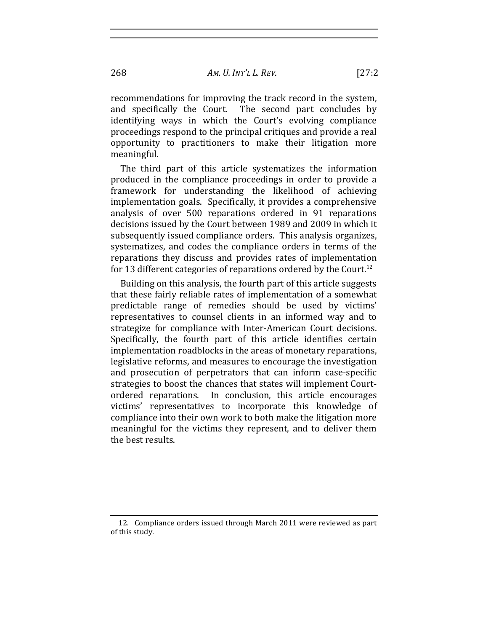recommendations for improving the track record in the system, and specifically the Court. The second part concludes by identifying ways in which the Court's evolving compliance proceedings respond to the principal critiques and provide a real opportunity to practitioners to make their litigation more meaningful.

The third part of this article systematizes the information produced in the compliance proceedings in order to provide a framework for understanding the likelihood of achieving implementation goals. Specifically, it provides a comprehensive analysis of over 500 reparations ordered in 91 reparations decisions issued by the Court between 1989 and 2009 in which it subsequently issued compliance orders. This analysis organizes, systematizes, and codes the compliance orders in terms of the reparations they discuss and provides rates of implementation for 13 different categories of reparations ordered by the Court.<sup>12</sup>

Building on this analysis, the fourth part of this article suggests that these fairly reliable rates of implementation of a somewhat predictable range of remedies should be used by victims' representatives to counsel clients in an informed way and to strategize for compliance with Inter-American Court decisions. Specifically, the fourth part of this article identifies certain implementation roadblocks in the areas of monetary reparations, legislative reforms, and measures to encourage the investigation and prosecution of perpetrators that can inform case-specific strategies to boost the chances that states will implement Courtordered reparations. In conclusion, this article encourages victims' representatives to incorporate this knowledge of compliance into their own work to both make the litigation more meaningful for the victims they represent, and to deliver them the best results.

<sup>12.</sup> Compliance orders issued through March 2011 were reviewed as part of this study.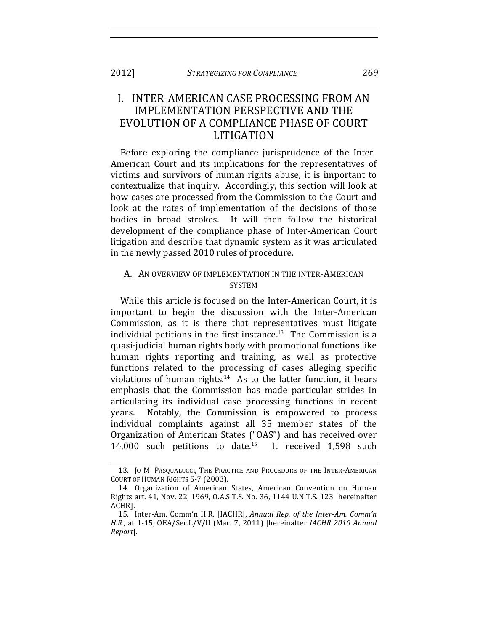# I. INTER-AMERICAN CASE PROCESSING FROM AN IMPLEMENTATION PERSPECTIVE AND THE EVOLUTION OF A COMPLIANCE PHASE OF COURT LITIGATION

Before exploring the compliance jurisprudence of the Inter-American Court and its implications for the representatives of victims and survivors of human rights abuse, it is important to contextualize that inquiry. Accordingly, this section will look at how cases are processed from the Commission to the Court and look at the rates of implementation of the decisions of those bodies in broad strokes. It will then follow the historical development of the compliance phase of Inter-American Court litigation and describe that dynamic system as it was articulated in the newly passed 2010 rules of procedure.

### A. AN OVERVIEW OF IMPLEMENTATION IN THE INTER-AMERICAN **SYSTEM**

While this article is focused on the Inter-American Court, it is important to begin the discussion with the Inter-American Commission, as it is there that representatives must litigate individual petitions in the first instance.<sup>13</sup> The Commission is a quasi-judicial human rights body with promotional functions like human rights reporting and training, as well as protective functions related to the processing of cases alleging specific violations of human rights. $14$  As to the latter function, it bears emphasis that the Commission has made particular strides in articulating its individual case processing functions in recent years. Notably, the Commission is empowered to process individual complaints against all 35 member states of the Organization of American States ("OAS") and has received over 14,000 such petitions to date.<sup>15</sup> It received  $1,598$  such

<sup>13.</sup> JO M. PASQUALUCCI, THE PRACTICE AND PROCEDURE OF THE INTER-AMERICAN COURT OF HUMAN RIGHTS 5-7 (2003).

<sup>14.</sup> Organization of American States, American Convention on Human Rights art. 41, Nov. 22, 1969, O.A.S.T.S. No. 36, 1144 U.N.T.S. 123 [hereinafter ACHR].

<sup>15.</sup> Inter-Am. Comm'n H.R. [IACHR], *Annual Rep. of the Inter-Am. Comm'n H.R.*, at 1-15, OEA/Ser.L/V/II (Mar. 7, 2011) [hereinafter *IACHR 2010 Annual Report*].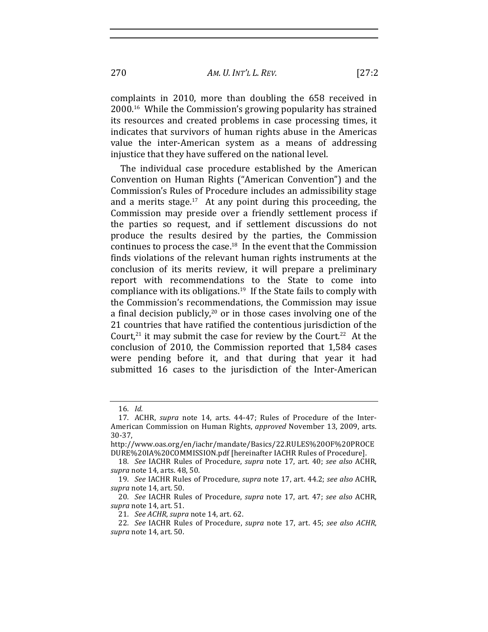AM. U. INT'L L. REV.

complaints in 2010, more than doubling the 658 received in 2000.<sup>16</sup> While the Commission's growing popularity has strained its resources and created problems in case processing times, it indicates that survivors of human rights abuse in the Americas value the inter-American system as a means of addressing injustice that they have suffered on the national level.

The individual case procedure established by the American Convention on Human Rights ("American Convention") and the Commission's Rules of Procedure includes an admissibility stage and a merits stage. $17$  At any point during this proceeding, the Commission may preside over a friendly settlement process if the parties so request, and if settlement discussions do not produce the results desired by the parties, the Commission continues to process the case. $18$  In the event that the Commission finds violations of the relevant human rights instruments at the conclusion of its merits review, it will prepare a preliminary report with recommendations to the State to come into compliance with its obligations.<sup>19</sup> If the State fails to comply with the Commission's recommendations, the Commission may issue a final decision publicly,<sup>20</sup> or in those cases involving one of the 21 countries that have ratified the contentious jurisdiction of the Court,<sup>21</sup> it may submit the case for review by the Court.<sup>22</sup> At the conclusion of 2010, the Commission reported that 1,584 cases were pending before it, and that during that year it had submitted 16 cases to the jurisdiction of the Inter-American

270

<sup>16.</sup> Id.

<sup>17.</sup> ACHR, supra note 14, arts. 44-47; Rules of Procedure of the Inter-American Commission on Human Rights, approved November 13, 2009, arts.  $30-37,$ 

http://www.oas.org/en/iachr/mandate/Basics/22.RULES%200F%20PROCE DURE%20IA%20COMMISSION.pdf [hereinafter IACHR Rules of Procedure].

<sup>18.</sup> See IACHR Rules of Procedure, supra note 17, art. 40; see also ACHR, supra note 14, arts. 48, 50.

<sup>19.</sup> See IACHR Rules of Procedure, supra note 17, art. 44.2; see also ACHR, supra note 14, art. 50.

<sup>20.</sup> See IACHR Rules of Procedure, supra note 17, art. 47; see also ACHR, supra note 14, art. 51.

<sup>21.</sup> See ACHR, supra note 14, art. 62.

<sup>22.</sup> See IACHR Rules of Procedure, supra note 17, art. 45; see also ACHR, supra note 14, art. 50.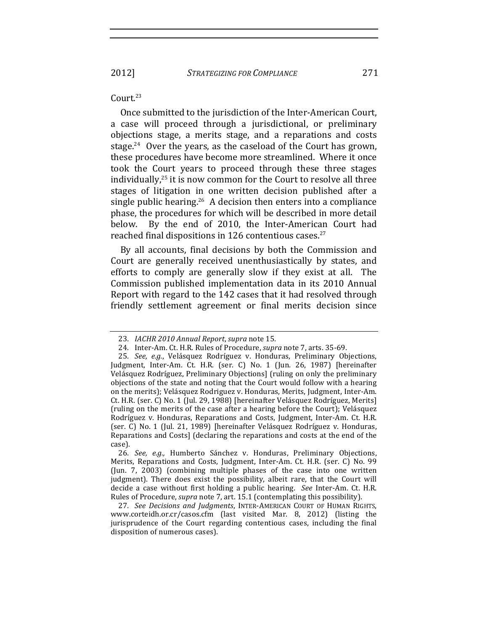### Court.<sup>23</sup>

Once submitted to the jurisdiction of the Inter-American Court, a case will proceed through a jurisdictional, or preliminary objections stage, a merits stage, and a reparations and costs stage.<sup>24</sup> Over the years, as the caseload of the Court has grown, these procedures have become more streamlined. Where it once took the Court years to proceed through these three stages individually, $25$  it is now common for the Court to resolve all three stages of litigation in one written decision published after a single public hearing.<sup>26</sup> A decision then enters into a compliance phase, the procedures for which will be described in more detail below. By the end of 2010, the Inter-American Court had reached final dispositions in 126 contentious cases.<sup>27</sup>

By all accounts, final decisions by both the Commission and Court are generally received unenthusiastically by states, and efforts to comply are generally slow if they exist at all. The Commission published implementation data in its 2010 Annual Report with regard to the 142 cases that it had resolved through friendly settlement agreement or final merits decision since

<sup>23.</sup> *IACHR 2010 Annual Report, supra* note 15.

<sup>24.</sup> Inter-Am. Ct. H.R. Rules of Procedure, *supra* note 7, arts. 35-69.

<sup>25.</sup> *See, e.g.*, Velásquez Rodríguez v. Honduras, Preliminary Objections, Judgment, Inter-Am. Ct. H.R. (ser. C) No. 1 (Jun. 26, 1987) [hereinafter Velásquez Rodríguez, Preliminary Objections] (ruling on only the preliminary objections of the state and noting that the Court would follow with a hearing on the merits); Velásquez Rodriguez v. Honduras, Merits, Judgment, Inter-Am. Ct. H.R. (ser. C) No. 1 (Jul. 29, 1988) [hereinafter Velásquez Rodríguez, Merits] (ruling on the merits of the case after a hearing before the Court); Velásquez Rodríguez v. Honduras, Reparations and Costs, Judgment, Inter-Am. Ct. H.R. (ser. C) No. 1 (Jul. 21, 1989) [hereinafter Velásquez Rodríguez v. Honduras, Reparations and Costs] (declaring the reparations and costs at the end of the case).

<sup>26</sup>*. See, e.g.,*! Humberto! Sánchez! v.! Honduras,! Preliminary! Objections,! Merits, Reparations and Costs, Judgment, Inter-Am. Ct. H.R. (ser. C) No. 99 (Jun. 7, 2003) (combining multiple phases of the case into one written judgment). There does exist the possibility, albeit rare, that the Court will decide a case without first holding a public hearing. See Inter-Am. Ct. H.R. Rules of Procedure, *supra* note 7, art. 15.1 (contemplating this possibility).

<sup>27.</sup> See Decisions and Judgments, INTER-AMERICAN COURT OF HUMAN RIGHTS, www.corteidh.or.cr/casos.cfm (last visited Mar. 8, 2012) (listing the jurisprudence of the Court regarding contentious cases, including the final disposition of numerous cases).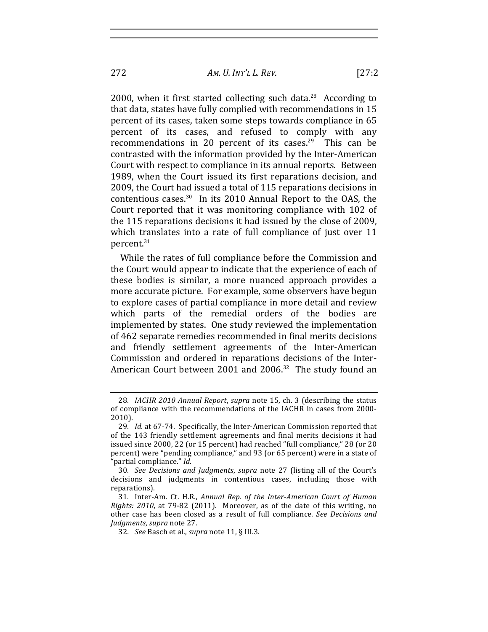2000, when it first started collecting such data.<sup>28</sup> According to that data, states have fully complied with recommendations in 15 percent of its cases, taken some steps towards compliance in 65 percent of its cases, and refused to comply with any recommendations in 20 percent of its cases.<sup>29</sup> This can be contrasted with the information provided by the Inter-American Court with respect to compliance in its annual reports. Between 1989, when the Court issued its first reparations decision, and 2009, the Court had issued a total of 115 reparations decisions in contentious cases. $30$  In its 2010 Annual Report to the OAS, the Court reported that it was monitoring compliance with 102 of the 115 reparations decisions it had issued by the close of 2009. which translates into a rate of full compliance of just over 11 percent.<sup>31</sup>

While the rates of full compliance before the Commission and the Court would appear to indicate that the experience of each of these bodies is similar, a more nuanced approach provides a more accurate picture. For example, some observers have begun to explore cases of partial compliance in more detail and review which parts of the remedial orders of the bodies are implemented by states. One study reviewed the implementation of 462 separate remedies recommended in final merits decisions and friendly settlement agreements of the Inter-American Commission and ordered in reparations decisions of the Inter-American Court between 2001 and 2006. $32$  The study found an

<sup>28</sup>*. IACHR 2010 Annual Report, supra* note 15, ch. 3 (describing the status of compliance with the recommendations of the IACHR in cases from 2000-2010).

<sup>29.</sup> *Id.* at 67-74. Specifically, the Inter-American Commission reported that of the 143 friendly settlement agreements and final merits decisions it had issued since 2000, 22 (or 15 percent) had reached "full compliance," 28 (or 20 percent) were "pending compliance," and 93 (or 65 percent) were in a state of partial compliance." *Id.* 

<sup>30.</sup> See Decisions and Judgments, supra note 27 (listing all of the Court's decisions and judgments in contentious cases, including those with reparations).

<sup>31.</sup> Inter-Am. Ct. H.R., *Annual Rep. of the Inter-American Court of Human Rights: 2010*, at 79-82 (2011). Moreover, as of the date of this writing, no other case has been closed as a result of full compliance. See Decisions and *Judgments*,!*supra*!note!27.

<sup>32.</sup> *See* Basch et al., *supra* note 11, § III.3.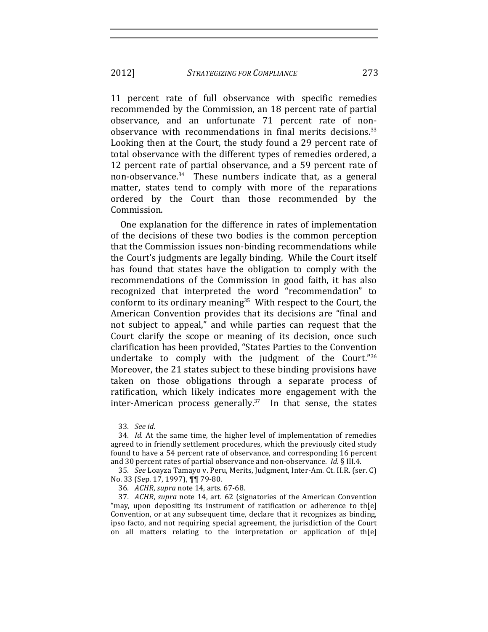2012] **STRATEGIZING FOR COMPLIANCE** 

11 percent rate of full observance with specific remedies recommended by the Commission, an 18 percent rate of partial observance, and an unfortunate 71 percent rate of nonobservance with recommendations in final merits decisions.<sup>33</sup> Looking then at the Court, the study found a 29 percent rate of total observance with the different types of remedies ordered, a 12 percent rate of partial observance, and a 59 percent rate of non-observance.<sup>34</sup> These numbers indicate that, as a general matter, states tend to comply with more of the reparations ordered by the Court than those recommended by the Commission.

One explanation for the difference in rates of implementation of the decisions of these two bodies is the common perception that the Commission issues non-binding recommendations while the Court's judgments are legally binding. While the Court itself has found that states have the obligation to comply with the recommendations of the Commission in good faith, it has also recognized that interpreted the word "recommendation" to conform to its ordinary meaning<sup>35</sup> With respect to the Court, the American Convention provides that its decisions are "final and not subject to appeal," and while parties can request that the Court clarify the scope or meaning of its decision, once such clarification has been provided, "States Parties to the Convention undertake to comply with the judgment of the Court."36 Moreover, the 21 states subject to these binding provisions have taken on those obligations through a separate process of ratification, which likely indicates more engagement with the inter-American process generally. $37$  In that sense, the states

273

<sup>33.</sup> See id.

<sup>34.</sup> Id. At the same time, the higher level of implementation of remedies agreed to in friendly settlement procedures, which the previously cited study found to have a 54 percent rate of observance, and corresponding 16 percent and 30 percent rates of partial observance and non-observance. *Id.* § III.4.

<sup>35.</sup> See Loayza Tamayo v. Peru, Merits, Judgment, Inter-Am. Ct. H.R. (ser. C) No. 33 (Sep. 17, 1997), TT 79-80.

<sup>36.</sup> ACHR, supra note 14, arts. 67-68.

<sup>37.</sup> ACHR, supra note 14, art. 62 (signatories of the American Convention "may, upon depositing its instrument of ratification or adherence to the Convention, or at any subsequent time, declare that it recognizes as binding, ipso facto, and not requiring special agreement, the jurisdiction of the Court on all matters relating to the interpretation or application of th[e]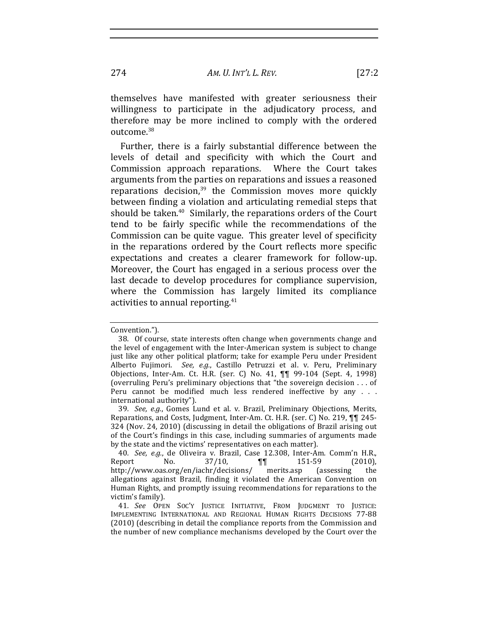$[27:2]$ 

themselves have manifested with greater seriousness their willingness to participate in the adjudicatory process, and therefore may be more inclined to comply with the ordered outcome.<sup>38</sup>

Further, there is a fairly substantial difference between the levels of detail and specificity with which the Court and Commission approach reparations. Where the Court takes arguments from the parties on reparations and issues a reasoned reparations decision, $39$  the Commission moves more quickly between finding a violation and articulating remedial steps that should be taken.<sup>40</sup> Similarly, the reparations orders of the Court tend to be fairly specific while the recommendations of the Commission can be quite vague. This greater level of specificity in the reparations ordered by the Court reflects more specific expectations and creates a clearer framework for follow-up. Moreover, the Court has engaged in a serious process over the last decade to develop procedures for compliance supervision, where the Commission has largely limited its compliance activities to annual reporting.<sup>41</sup>

274

Convention.").

<sup>38.</sup> Of course, state interests often change when governments change and the level of engagement with the Inter-American system is subject to change just like any other political platform; take for example Peru under President Alberto Fujimori. See, e.g., Castillo Petruzzi et al. v. Peru, Preliminary Objections, Inter-Am. Ct. H.R. (ser. C) No. 41, 11 99-104 (Sept. 4, 1998) (overruling Peru's preliminary objections that "the sovereign decision . . . of Peru cannot be modified much less rendered ineffective by any . . . international authority").

<sup>39.</sup> See, e.g., Gomes Lund et al. v. Brazil, Preliminary Objections, Merits, Reparations, and Costs, Judgment, Inter-Am. Ct. H.R. (ser. C) No. 219, TT 245-324 (Nov. 24, 2010) (discussing in detail the obligations of Brazil arising out of the Court's findings in this case, including summaries of arguments made by the state and the victims' representatives on each matter).

<sup>40.</sup> See, e.g., de Oliveira v. Brazil, Case 12.308, Inter-Am. Comm'n H.R., Report  $No.$  $37/10$ , 151-59 **TT**  $(2010)$ , http://www.oas.org/en/iachr/decisions/ merits.asp the (assessing) allegations against Brazil, finding it violated the American Convention on Human Rights, and promptly issuing recommendations for reparations to the victim's family).

<sup>41.</sup> See OPEN SOC'Y JUSTICE INITIATIVE, FROM JUDGMENT TO JUSTICE: IMPLEMENTING INTERNATIONAL AND REGIONAL HUMAN RIGHTS DECISIONS 77-88 (2010) (describing in detail the compliance reports from the Commission and the number of new compliance mechanisms developed by the Court over the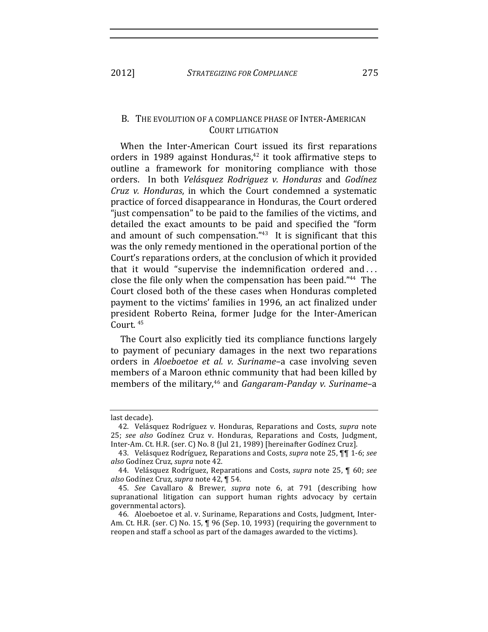#### B. THE EVOLUTION OF A COMPLIANCE PHASE OF INTER-AMERICAN **COURT LITIGATION**

When the Inter-American Court issued its first reparations orders in 1989 against Honduras,<sup>42</sup> it took affirmative steps to outline a framework for monitoring compliance with those orders. In both Velásquez Rodriguez v. Honduras and Godínez Cruz v. Honduras, in which the Court condemned a systematic practice of forced disappearance in Honduras, the Court ordered "just compensation" to be paid to the families of the victims, and detailed the exact amounts to be paid and specified the "form and amount of such compensation."43 It is significant that this was the only remedy mentioned in the operational portion of the Court's reparations orders, at the conclusion of which it provided that it would "supervise the indemnification ordered and... close the file only when the compensation has been paid."<sup>44</sup> The Court closed both of the these cases when Honduras completed payment to the victims' families in 1996, an act finalized under president Roberto Reina, former Judge for the Inter-American Court.<sup>45</sup>

The Court also explicitly tied its compliance functions largely to payment of pecuniary damages in the next two reparations orders in Aloeboetoe et al. v. Suriname-a case involving seven members of a Maroon ethnic community that had been killed by members of the military,<sup>46</sup> and *Gangaram-Panday v. Suriname*-a

2012]

last decade).

<sup>42.</sup> Velásquez Rodríguez v. Honduras, Reparations and Costs, supra note 25; see also Godínez Cruz v. Honduras, Reparations and Costs, Judgment, Inter-Am. Ct. H.R. (ser. C) No. 8 (Jul 21, 1989) [hereinafter Godínez Cruz].

<sup>43.</sup> Velásquez Rodríguez, Reparations and Costs, *supra* note 25, **11** 1-6; see also Godínez Cruz, supra note 42.

<sup>44.</sup> Velásquez Rodríguez, Reparations and Costs, supra note 25, ¶ 60; see also Godínez Cruz, supra note 42, ¶ 54.

<sup>45.</sup> See Cavallaro & Brewer, supra note 6, at 791 (describing how supranational litigation can support human rights advocacy by certain governmental actors).

<sup>46.</sup> Aloeboetoe et al. v. Suriname, Reparations and Costs, Judgment, Inter-Am. Ct. H.R. (ser. C) No. 15, ¶ 96 (Sep. 10, 1993) (requiring the government to reopen and staff a school as part of the damages awarded to the victims).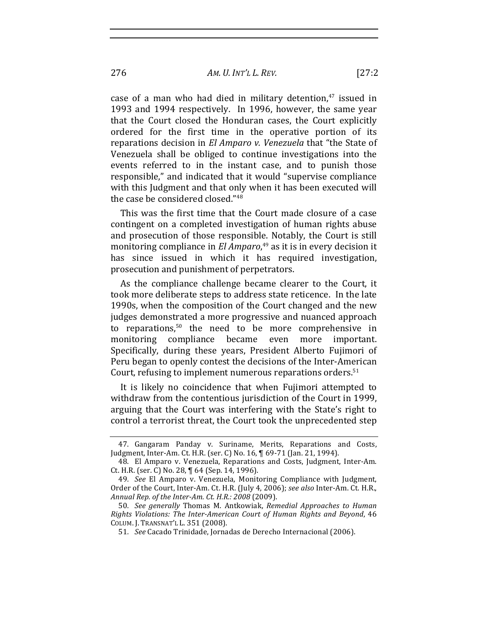case of a man who had died in military detention, $47$  issued in 1993 and 1994 respectively. In 1996, however, the same year that the Court closed the Honduran cases, the Court explicitly ordered for the first time in the operative portion of its reparations decision in *El Amparo v. Venezuela* that "the State of Venezuela shall be obliged to continue investigations into the events referred to in the instant case, and to punish those responsible," and indicated that it would "supervise compliance with this Judgment and that only when it has been executed will

This was the first time that the Court made closure of a case contingent on a completed investigation of human rights abuse and prosecution of those responsible. Notably, the Court is still monitoring compliance in *El Amparo*,<sup>49</sup> as it is in every decision it has since issued in which it has required investigation, prosecution and punishment of perpetrators.

the case be considered closed."<sup>48</sup>

As the compliance challenge became clearer to the Court, it took more deliberate steps to address state reticence. In the late 1990s, when the composition of the Court changed and the new judges demonstrated a more progressive and nuanced approach to reparations, $50$  the need to be more comprehensive in monitoring compliance became even more important. Specifically, during these years, President Alberto Fujimori of Peru began to openly contest the decisions of the Inter-American Court, refusing to implement numerous reparations orders. $51$ 

It is likely no coincidence that when Fujimori attempted to withdraw from the contentious jurisdiction of the Court in 1999, arguing that the Court was interfering with the State's right to control a terrorist threat, the Court took the unprecedented step

<sup>47.</sup> Gangaram Panday v. Suriname, Merits, Reparations and Costs, Judgment, Inter-Am. Ct. H.R. (ser. C) No. 16, ¶ 69-71 (Jan. 21, 1994).

<sup>48.</sup> El Amparo v. Venezuela, Reparations and Costs, Judgment, Inter-Am. Ct. H.R. (ser. C) No. 28, ¶ 64 (Sep. 14, 1996).

<sup>49.</sup> *See* El Amparo v. Venezuela, Monitoring Compliance with Judgment, Order of the Court, Inter-Am. Ct. H.R. (July 4, 2006); see also Inter-Am. Ct. H.R., Annual Rep. of the Inter-Am. Ct. H.R.: 2008 (2009).

<sup>50.</sup> *See generally* Thomas M. Antkowiak, *Remedial Approaches to Human Rights Violations: The Inter-American Court of Human Rights and Beyond, 46* COLUM. J. TRANSNAT'L L. 351 (2008).

<sup>51.</sup> *See* Cacado Trinidade, Jornadas de Derecho Internacional (2006).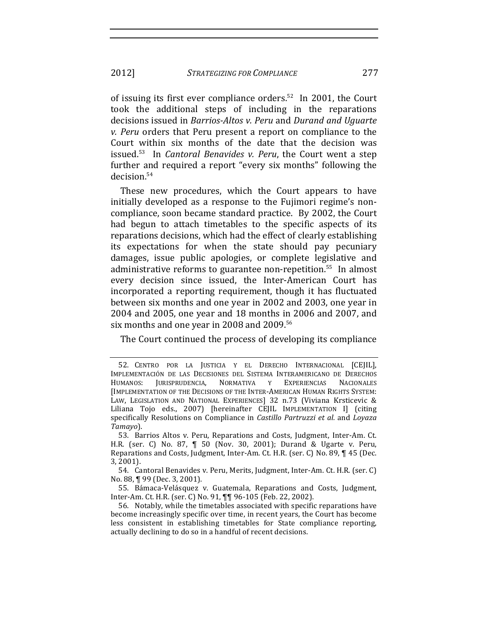of issuing its first ever compliance orders.<sup>52</sup> In 2001, the Court took the additional steps of including in the reparations decisions issued in *Barrios-Altos v. Peru* and *Durand and Uguarte v. Peru* orders that Peru present a report on compliance to the Court within six months of the date that the decision was issued.<sup>53</sup> In *Cantoral Benavides v. Peru*, the Court went a step further and required a report "every six months" following the decision.<sup>54</sup>

These new procedures, which the Court appears to have initially developed as a response to the Fujimori regime's noncompliance, soon became standard practice. By 2002, the Court had begun to attach timetables to the specific aspects of its reparations decisions, which had the effect of clearly establishing its expectations for when the state should pay pecuniary damages, issue public apologies, or complete legislative and administrative reforms to guarantee non-repetition.<sup>55</sup> In almost every decision since issued, the Inter-American Court has incorporated a reporting requirement, though it has fluctuated between six months and one year in 2002 and 2003, one year in 2004 and 2005, one year and 18 months in 2006 and 2007, and six months and one year in 2008 and 2009.<sup>56</sup>

The Court continued the process of developing its compliance

<sup>52.</sup> CENTRO POR LA JUSTICIA Y EL DERECHO INTERNACIONAL [CEJIL], IMPLEMENTACIÓN DE LAS DECISIONES DEL SISTEMA INTERAMERICANO DE DERECHOS HUMANOS: JURISPRUDENCIA, NORMATIVA Y EXPERIENCIAS NACIONALES [IMPLEMENTATION OF THE DECISIONS OF THE INTER-AMERICAN HUMAN RIGHTS SYSTEM: LAW, LEGISLATION AND NATIONAL EXPERIENCES] 32 n.73 (Viviana Krsticevic & Liliana Tojo eds., 2007) [hereinafter CEJIL IMPLEMENTATION I] (citing specifically Resolutions on Compliance in *Castillo Partruzzi et al.* and *Loyaza Tamayo*).

<sup>53.</sup> Barrios Altos v. Peru, Reparations and Costs, Judgment, Inter-Am. Ct. H.R. (ser. C) No. 87, ¶ 50 (Nov. 30, 2001); Durand & Ugarte v. Peru, Reparations and Costs, Judgment, Inter-Am. Ct. H.R. (ser. C) No. 89, ¶ 45 (Dec. 3,!2001).

<sup>54.</sup> Cantoral Benavides v. Peru, Merits, Judgment, Inter-Am. Ct. H.R. (ser. C) No. 88, ¶ 99 (Dec. 3, 2001).

<sup>55.</sup> Bámaca-Velásquez v. Guatemala, Reparations and Costs, Judgment, Inter-Am. Ct. H.R. (ser. C) No. 91, ¶¶ 96-105 (Feb. 22, 2002).

<sup>56.</sup> Notably, while the timetables associated with specific reparations have become increasingly specific over time, in recent years, the Court has become less consistent in establishing timetables for State compliance reporting, actually declining to do so in a handful of recent decisions.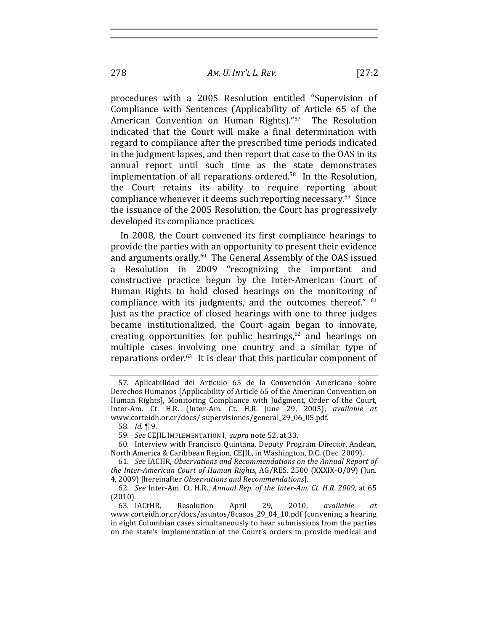procedures with a 2005 Resolution entitled "Supervision of Compliance with Sentences (Applicability of Article 65 of the American Convention on Human Rights)."<sup>57</sup> The Resolution indicated that the Court will make a final determination with regard to compliance after the prescribed time periods indicated in the judgment lapses, and then report that case to the OAS in its annual report until such time as the state demonstrates implementation of all reparations ordered. $58$  In the Resolution, the Court retains its ability to require reporting about compliance whenever it deems such reporting necessary.<sup>59</sup> Since the issuance of the 2005 Resolution, the Court has progressively developed its compliance practices.

In 2008, the Court convened its first compliance hearings to provide the parties with an opportunity to present their evidence and arguments orally.<sup>60</sup> The General Assembly of the OAS issued a Resolution in 2009 "recognizing the important and constructive practice begun by the Inter-American Court of Human Rights to hold closed hearings on the monitoring of compliance with its judgments, and the outcomes thereof." <sup>61</sup> Just as the practice of closed hearings with one to three judges became institutionalized, the Court again began to innovate, creating opportunities for public hearings, $62$  and hearings on multiple cases involving one country and a similar type of reparations order. $63$  It is clear that this particular component of

58*. Id.* ¶!9.

59. *See* CEJIL IMPLEMENTATION I, *supra* note 52, at 33.

60. Interview with Francisco Quintana, Deputy Program Director, Andean, North America & Caribbean Region, CEJIL, in Washington, D.C. (Dec. 2009).

61. See IACHR, Observations and Recommendations on the Annual Report of *the Inter-American Court of Human Rights, AG/RES. 2500 (XXXIX-O/09) (Jun.* 4, 2009) [hereinafter *Observations and Recommendations*].

62. *See* Inter-Am. Ct. H.R., *Annual Rep. of the Inter-Am. Ct. H.R. 2009*, at 65 (2010).

63. IACtHR,! Resolution! April! 29,! 2010,! *available! at* www.corteidh.or.cr/docs/asuntos/8casos\_29\_04\_10.pdf (convening a hearing in eight Colombian cases simultaneously to hear submissions from the parties on the state's implementation of the Court's orders to provide medical and

<sup>57.</sup> Aplicabilidad del Artículo 65 de la Convención Americana sobre Derechos Humanos [Applicability of Article 65 of the American Convention on Human Rights], Monitoring Compliance with Judgment, Order of the Court, Inter-Am. Ct. H.R. (Inter-Am. Ct. H.R. June 29, 2005), *available at* www.corteidh.or.cr/docs/ supervisiones/general\_29\_06\_05.pdf.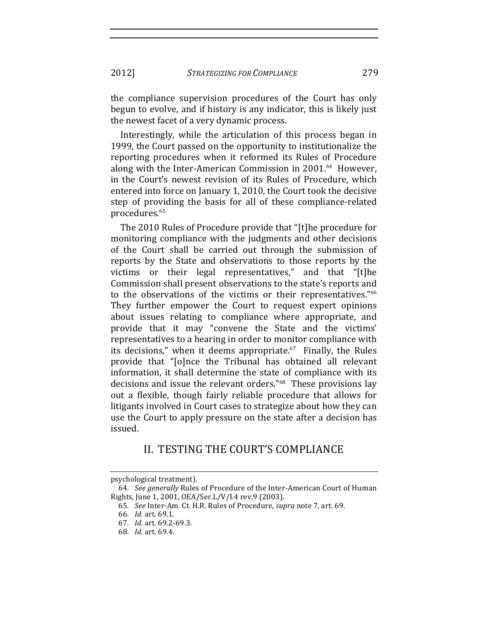the compliance supervision procedures of the Court has only begun to evolve, and if history is any indicator, this is likely just the newest facet of a very dynamic process.

Interestingly, while the articulation of this process began in 1999, the Court passed on the opportunity to institutionalize the reporting procedures when it reformed its Rules of Procedure along with the Inter-American Commission in 2001.<sup>64</sup> However, in the Court's newest revision of its Rules of Procedure, which entered into force on January 1, 2010, the Court took the decisive step of providing the basis for all of these compliance-related procedures.<sup>65</sup>

The 2010 Rules of Procedure provide that "[t]he procedure for monitoring compliance with the judgments and other decisions of the Court shall be carried out through the submission of reports by the State and observations to those reports by the victims or their legal representatives," and that "[t]he Commission shall present observations to the state's reports and to the observations of the victims or their representatives."<sup>66</sup> They further empower the Court to request expert opinions about issues relating to compliance where appropriate, and provide that it may "convene the State and the victims' representatives to a hearing in order to monitor compliance with its decisions," when it deems appropriate. $67$  Finally, the Rules provide that "[o]nce the Tribunal has obtained all relevant information, it shall determine the state of compliance with its decisions and issue the relevant orders."<sup>68</sup> These provisions lay out a flexible, though fairly reliable procedure that allows for litigants involved in Court cases to strategize about how they can use the Court to apply pressure on the state after a decision has issued.

## II. TESTING THE COURT'S COMPLIANCE

psychological treatment).

<sup>64.</sup> *See generally* Rules of Procedure of the Inter-American Court of Human Rights, June 1, 2001, OEA/Ser.L/V/I.4 rev.9 (2003).

<sup>65.</sup> *See* Inter-Am. Ct. H.R. Rules of Procedure, *supra* note 7, art. 69.

<sup>66</sup>*. Id.*!art.!69.1.

<sup>67</sup>*. Id.*!art.!69.2569.3.

<sup>68</sup>*. Id.*!art. 69.4.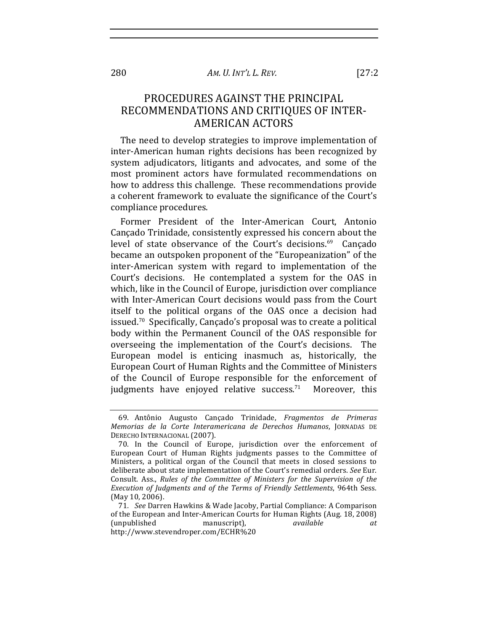#### AM. U. INT'L L. REV.

# PROCEDURES AGAINST THE PRINCIPAL RECOMMENDATIONS AND CRITIOUES OF INTER-**AMERICAN ACTORS**

The need to develop strategies to improve implementation of inter-American human rights decisions has been recognized by system adjudicators, litigants and advocates, and some of the most prominent actors have formulated recommendations on how to address this challenge. These recommendations provide a coherent framework to evaluate the significance of the Court's compliance procedures.

Former President of the Inter-American Court, Antonio Cancado Trinidade, consistently expressed his concern about the level of state observance of the Court's decisions.<sup>69</sup> Cancado became an outspoken proponent of the "Europeanization" of the inter-American system with regard to implementation of the Court's decisions. He contemplated a system for the OAS in which, like in the Council of Europe, jurisdiction over compliance with Inter-American Court decisions would pass from the Court itself to the political organs of the OAS once a decision had issued.<sup>70</sup> Specifically, Cancado's proposal was to create a political body within the Permanent Council of the OAS responsible for overseeing the implementation of the Court's decisions. The European model is enticing inasmuch as, historically, the European Court of Human Rights and the Committee of Ministers of the Council of Europe responsible for the enforcement of judgments have enjoyed relative success.<sup>71</sup> Moreover, this

280

 $[27:2]$ 

<sup>69.</sup> Antônio Augusto Cançado Trinidade, Fragmentos de Primeras Memorias de la Corte Interamericana de Derechos Humanos, JORNADAS DE DERECHO INTERNACIONAL (2007).

<sup>70.</sup> In the Council of Europe, jurisdiction over the enforcement of European Court of Human Rights judgments passes to the Committee of Ministers, a political organ of the Council that meets in closed sessions to deliberate about state implementation of the Court's remedial orders. See Eur. Consult. Ass., Rules of the Committee of Ministers for the Supervision of the Execution of Judgments and of the Terms of Friendly Settlements, 964th Sess. (May 10, 2006).

<sup>71.</sup> See Darren Hawkins & Wade Jacoby, Partial Compliance: A Comparison of the European and Inter-American Courts for Human Rights (Aug. 18, 2008) *(unpublished)* manuscript), available at http://www.stevendroper.com/ECHR%20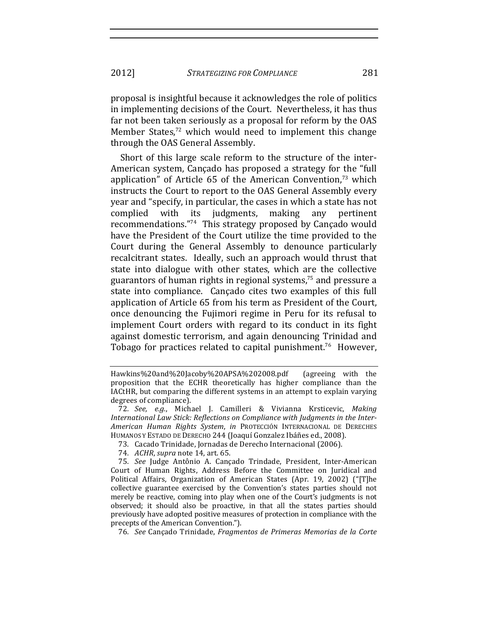2012] *STRATEGIZING FOR COMPLIANCE* 281

proposal is insightful because it acknowledges the role of politics in implementing decisions of the Court. Nevertheless, it has thus far not been taken seriously as a proposal for reform by the OAS Member States, $72$  which would need to implement this change through the OAS General Assembly.

Short of this large scale reform to the structure of the inter-American system, Cançado has proposed a strategy for the "full" application" of Article 65 of the American Convention, $73$  which instructs the Court to report to the OAS General Assembly every year and "specify, in particular, the cases in which a state has not complied with its judgments, making any pertinent recommendations."<sup>74</sup> This strategy proposed by Cançado would have the President of the Court utilize the time provided to the Court during the General Assembly to denounce particularly recalcitrant states. Ideally, such an approach would thrust that state into dialogue with other states, which are the collective guarantors of human rights in regional systems, $75$  and pressure a state into compliance. Cançado cites two examples of this full application of Article 65 from his term as President of the Court, once denouncing the Fujimori regime in Peru for its refusal to implement Court orders with regard to its conduct in its fight against domestic terrorism, and again denouncing Trinidad and Tobago for practices related to capital punishment.<sup>76</sup> However,

- 73. Cacado Trinidade, Jornadas de Derecho Internacional (2006).
- 74. *ACHR*, *supra* note 14, art. 65.

76*. See* Cançado!Trinidade,!*Fragmentos! de! Primeras!Memorias! de!la! Corte!*

Hawkins%20and%20Jacoby%20APSA%202008.pdf (agreeing with the proposition that the ECHR theoretically has higher compliance than the IACtHR, but comparing the different systems in an attempt to explain varying degrees of compliance).

<sup>72</sup>*. See, e.g.*,! Michael! J.! Camilleri! &! Vivianna! Krsticevic,! *Making! International Law Stick: Reflections on Compliance with Judgments in the Inter-American! Human! Rights! System*,! *in* PROTECCIÓN! INTERNACIONAL! DE! DERECHES! HUMANOS Y ESTADO DE DERECHO 244 (Joaquí Gonzalez Ibáñes ed., 2008).

<sup>75.</sup> See Judge Antônio A. Cançado Trindade, President, Inter-American Court of Human Rights, Address Before the Committee on Juridical and Political Affairs, Organization of American States (Apr. 19, 2002) ("[T]he collective guarantee exercised by the Convention's states parties should not merely be reactive, coming into play when one of the Court's judgments is not observed; it should also be proactive, in that all the states parties should previously have adopted positive measures of protection in compliance with the precepts of the American Convention.").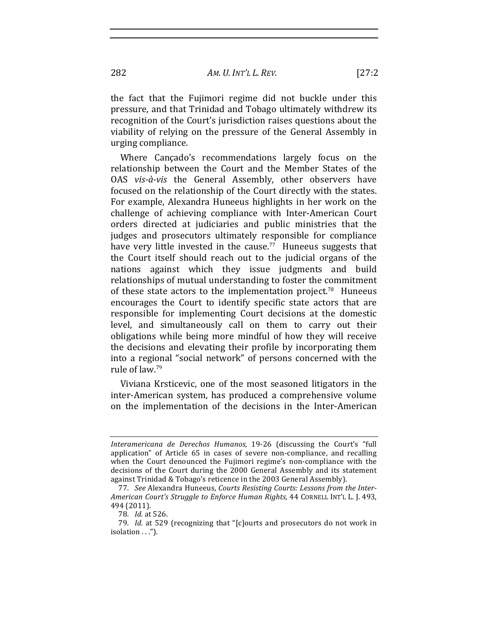AM. U. INT'L L. REV.

the fact that the Fujimori regime did not buckle under this pressure, and that Trinidad and Tobago ultimately withdrew its recognition of the Court's jurisdiction raises questions about the viability of relying on the pressure of the General Assembly in urging compliance.

Where Cancado's recommendations largely focus on the relationship between the Court and the Member States of the OAS vis-à-vis the General Assembly, other observers have focused on the relationship of the Court directly with the states. For example, Alexandra Huneeus highlights in her work on the challenge of achieving compliance with Inter-American Court orders directed at judiciaries and public ministries that the judges and prosecutors ultimately responsible for compliance have very little invested in the cause.<sup>77</sup> Huneeus suggests that the Court itself should reach out to the judicial organs of the nations against which they issue judgments and build relationships of mutual understanding to foster the commitment of these state actors to the implementation project.<sup>78</sup> Huneeus encourages the Court to identify specific state actors that are responsible for implementing Court decisions at the domestic level, and simultaneously call on them to carry out their obligations while being more mindful of how they will receive the decisions and elevating their profile by incorporating them into a regional "social network" of persons concerned with the rule of law.<sup>79</sup>

Viviana Krsticevic, one of the most seasoned litigators in the inter-American system, has produced a comprehensive volume on the implementation of the decisions in the Inter-American

Interamericana de Derechos Humanos, 19-26 (discussing the Court's "full application" of Article 65 in cases of severe non-compliance, and recalling when the Court denounced the Fujimori regime's non-compliance with the decisions of the Court during the 2000 General Assembly and its statement against Trinidad & Tobago's reticence in the 2003 General Assembly).

<sup>77.</sup> See Alexandra Huneeus, Courts Resisting Courts: Lessons from the Inter-American Court's Struggle to Enforce Human Rights, 44 CORNELL INT'L L. J. 493, 494 (2011).

<sup>78.</sup> Id. at 526.

<sup>79.</sup> Id. at 529 (recognizing that "[c]ourts and prosecutors do not work in isolation . . .").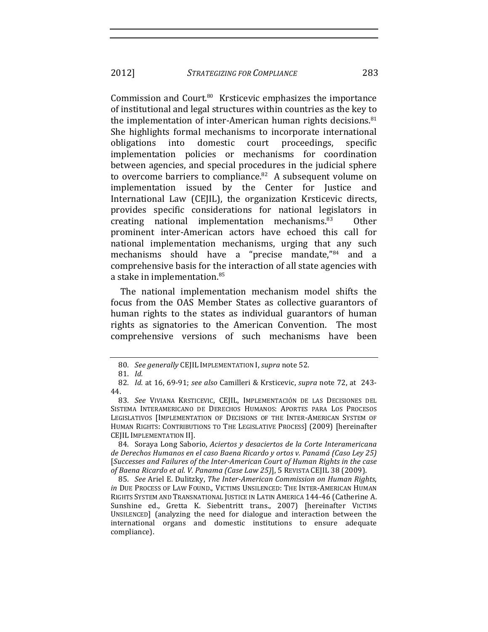Commission and Court.<sup>80</sup> Krsticevic emphasizes the importance of institutional and legal structures within countries as the key to the implementation of inter-American human rights decisions.<sup>81</sup> She highlights formal mechanisms to incorporate international obligations domestic court proceedings, into specific implementation policies or mechanisms for coordination between agencies, and special procedures in the judicial sphere to overcome barriers to compliance.<sup>82</sup> A subsequent volume on implementation issued by the Center for Justice and International Law (CEJIL), the organization Krsticevic directs, provides specific considerations for national legislators in creating national implementation mechanisms.<sup>83</sup> Other prominent inter-American actors have echoed this call for national implementation mechanisms, urging that any such mechanisms should have a "precise mandate,"<sup>84</sup> and a comprehensive basis for the interaction of all state agencies with a stake in implementation.<sup>85</sup>

The national implementation mechanism model shifts the focus from the OAS Member States as collective guarantors of human rights to the states as individual guarantors of human rights as signatories to the American Convention. The most comprehensive versions of such mechanisms have been

84. Soraya Long Saborio, Aciertos y desaciertos de la Corte Interamericana de Derechos Humanos en el caso Baena Ricardo y ortos v. Panamá (Caso Ley 25) [Successes and Failures of the Inter-American Court of Human Rights in the case of Baena Ricardo et al. V. Panama (Case Law 25)], 5 REVISTA CEJIL 38 (2009).

85. See Ariel E. Dulitzky, The Inter-American Commission on Human Rights, in DUE PROCESS OF LAW FOUND., VICTIMS UNSILENCED: THE INTER-AMERICAN HUMAN RIGHTS SYSTEM AND TRANSNATIONAL JUSTICE IN LATIN AMERICA 144-46 (Catherine A. Sunshine ed., Gretta K. Siebentritt trans., 2007) [hereinafter VICTIMS UNSILENCED] (analyzing the need for dialogue and interaction between the international organs and domestic institutions to ensure adequate compliance).

<sup>80.</sup> See generally CEJIL IMPLEMENTATION I, supra note 52.

<sup>81.</sup> Id.

<sup>82.</sup> Id. at 16, 69-91; see also Camilleri & Krsticevic, supra note 72, at 243-44.

<sup>83.</sup> See VIVIANA KRSTICEVIC, CEJIL, IMPLEMENTACIÓN DE LAS DECISIONES DEL SISTEMA INTERAMERICANO DE DERECHOS HUMANOS: APORTES PARA LOS PROCESOS LEGISLATIVOS [IMPLEMENTATION OF DECISIONS OF THE INTER-AMERICAN SYSTEM OF HUMAN RIGHTS: CONTRIBUTIONS TO THE LEGISLATIVE PROCESS] (2009) [hereinafter CEJIL IMPLEMENTATION II].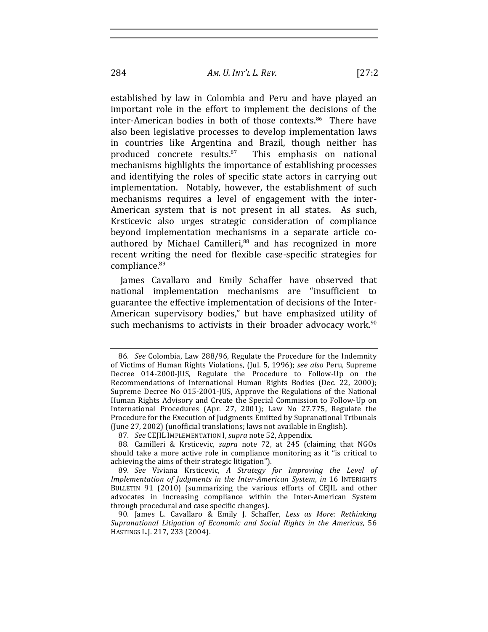AM. U. INT'L L. REV.

established by law in Colombia and Peru and have played an important role in the effort to implement the decisions of the inter-American bodies in both of those contexts.<sup>86</sup> There have also been legislative processes to develop implementation laws in countries like Argentina and Brazil, though neither has produced concrete results.<sup>87</sup> This emphasis on national mechanisms highlights the importance of establishing processes and identifying the roles of specific state actors in carrying out implementation. Notably, however, the establishment of such mechanisms requires a level of engagement with the inter-American system that is not present in all states. As such, Krsticevic also urges strategic consideration of compliance beyond implementation mechanisms in a separate article coauthored by Michael Camilleri,<sup>88</sup> and has recognized in more recent writing the need for flexible case-specific strategies for

James Cavallaro and Emily Schaffer have observed that national implementation mechanisms are "insufficient to guarantee the effective implementation of decisions of the Inter-American supervisory bodies," but have emphasized utility of such mechanisms to activists in their broader advocacy work.<sup>90</sup>

compliance.<sup>89</sup>

<sup>86.</sup> See Colombia, Law 288/96, Regulate the Procedure for the Indemnity of Victims of Human Rights Violations, (Jul. 5, 1996); see also Peru, Supreme Decree 014-2000-JUS, Regulate the Procedure to Follow-Up on the Recommendations of International Human Rights Bodies (Dec. 22, 2000); Supreme Decree No 015-2001-JUS, Approve the Regulations of the National Human Rights Advisory and Create the Special Commission to Follow-Up on International Procedures (Apr. 27, 2001); Law No 27.775, Regulate the Procedure for the Execution of Judgments Emitted by Supranational Tribunals (June 27, 2002) (unofficial translations; laws not available in English).

<sup>87.</sup> See CEJIL IMPLEMENTATION I, supra note 52, Appendix.

<sup>88.</sup> Camilleri & Krsticevic, supra note 72, at 245 (claiming that NGOs should take a more active role in compliance monitoring as it "is critical to achieving the aims of their strategic litigation").

<sup>89.</sup> See Viviana Krsticevic, A Strategy for Improving the Level of Implementation of Judgments in the Inter-American System, in 16 INTERIGHTS BULLETIN 91 (2010) (summarizing the various efforts of CEJIL and other advocates in increasing compliance within the Inter-American System through procedural and case specific changes).

<sup>90.</sup> James L. Cavallaro & Emily J. Schaffer, Less as More: Rethinking Supranational Litigation of Economic and Social Rights in the Americas, 56 HASTINGS L.J. 217, 233 (2004).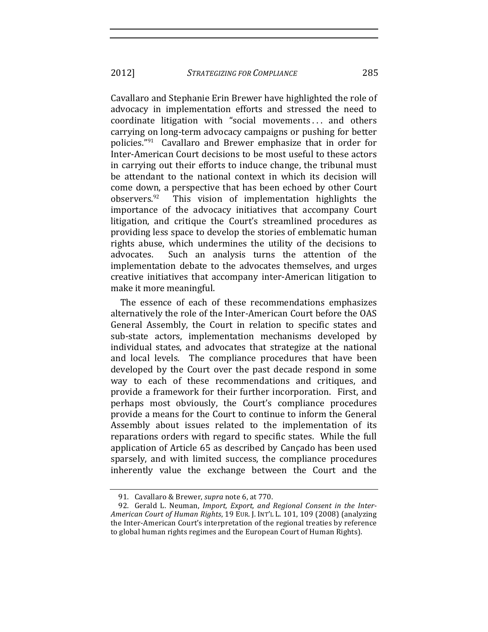Cavallaro and Stephanie Erin Brewer have highlighted the role of advocacy in implementation efforts and stressed the need to coordinate litigation with "social movements ... and others carrying on long-term advocacy campaigns or pushing for better policies." $91$  Cavallaro and Brewer emphasize that in order for Inter-American Court decisions to be most useful to these actors in carrying out their efforts to induce change, the tribunal must be attendant to the national context in which its decision will come down, a perspective that has been echoed by other Court observers. $92$  This vision of implementation highlights the importance of the advocacy initiatives that accompany Court litigation, and critique the Court's streamlined procedures as providing less space to develop the stories of emblematic human rights abuse, which undermines the utility of the decisions to advocates. Such an analysis turns the attention of the implementation debate to the advocates themselves, and urges creative initiatives that accompany inter-American litigation to make it more meaningful.

The essence of each of these recommendations emphasizes alternatively the role of the Inter-American Court before the OAS General Assembly, the Court in relation to specific states and sub-state actors, implementation mechanisms developed by individual states, and advocates that strategize at the national and local levels. The compliance procedures that have been developed by the Court over the past decade respond in some way to each of these recommendations and critiques, and provide a framework for their further incorporation. First, and perhaps most obviously, the Court's compliance procedures provide a means for the Court to continue to inform the General Assembly about issues related to the implementation of its reparations orders with regard to specific states. While the full application of Article 65 as described by Cançado has been used sparsely, and with limited success, the compliance procedures inherently value the exchange between the Court and the

<sup>91.</sup> Cavallaro & Brewer, *supra* note 6, at 770.

<sup>92.</sup> Gerald L. Neuman, *Import, Export, and Regional Consent in the Inter-American!Court!of!Human!Rights*,!19!EUR. J. INT'L!L.!101,!109!(2008)!(analyzing! the Inter-American Court's interpretation of the regional treaties by reference to global human rights regimes and the European Court of Human Rights).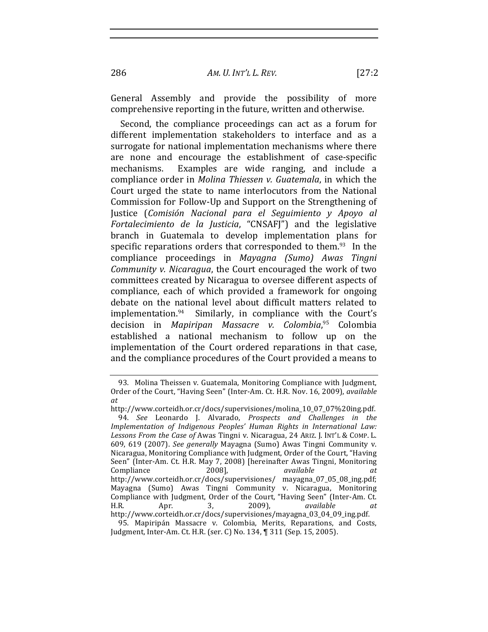AM. U. INT'L L. REV.

General Assembly and provide the possibility of more comprehensive reporting in the future, written and otherwise.

Second, the compliance proceedings can act as a forum for different implementation stakeholders to interface and as a surrogate for national implementation mechanisms where there are none and encourage the establishment of case-specific Examples are wide ranging, and include a mechanisms. compliance order in Molina Thiessen v. Guatemala, in which the Court urged the state to name interlocutors from the National Commission for Follow-Up and Support on the Strengthening of Justice (Comisión Nacional para el Seguimiento y Apoyo al Fortalecimiento de la Justicia, "CNSAFI") and the legislative branch in Guatemala to develop implementation plans for specific reparations orders that corresponded to them.<sup>93</sup> In the compliance proceedings in Mayagna (Sumo) Awas Tingni Community v. Nicaragua, the Court encouraged the work of two committees created by Nicaragua to oversee different aspects of compliance, each of which provided a framework for ongoing debate on the national level about difficult matters related to implementation.<sup>94</sup> Similarly, in compliance with the Court's decision in Mapiripan Massacre v. Colombia,<sup>95</sup> Colombia established a national mechanism to follow up on the implementation of the Court ordered reparations in that case. and the compliance procedures of the Court provided a means to

<sup>93.</sup> Molina Theissen v. Guatemala, Monitoring Compliance with Judgment, Order of the Court, "Having Seen" (Inter-Am. Ct. H.R. Nov. 16, 2009), available at

http://www.corteidh.or.cr/docs/supervisiones/molina 10 07 07%20ing.pdf. 94. See Leonardo J. Alvarado, Prospects and Challenges in the Implementation of Indigenous Peoples' Human Rights in International Law: Lessons From the Case of Awas Tingni v. Nicaragua, 24 ARIZ. J. INT'L & COMP. L. 609, 619 (2007). See generally Mayagna (Sumo) Awas Tingni Community v. Nicaragua, Monitoring Compliance with Judgment, Order of the Court, "Having Seen" (Inter-Am. Ct. H.R. May 7, 2008) [hereinafter Awas Tingni, Monitoring Compliance 2008], available  $at$ http://www.corteidh.or.cr/docs/supervisiones/ mayagna\_07\_05\_08\_ing.pdf; Mayagna (Sumo) Awas Tingni Community v. Nicaragua, Monitoring<br>Compliance with Judgment, Order of the Court, "Having Seen" (Inter-Am. Ct.  $H.R.$ Apr. 3,  $2009$ ), available at. http://www.corteidh.or.cr/docs/supervisiones/mayagna 03 04 09 ing.pdf.

<sup>95.</sup> Mapiripán Massacre v. Colombia, Merits, Reparations, and Costs, Judgment, Inter-Am. Ct. H.R. (ser. C) No. 134, ¶ 311 (Sep. 15, 2005).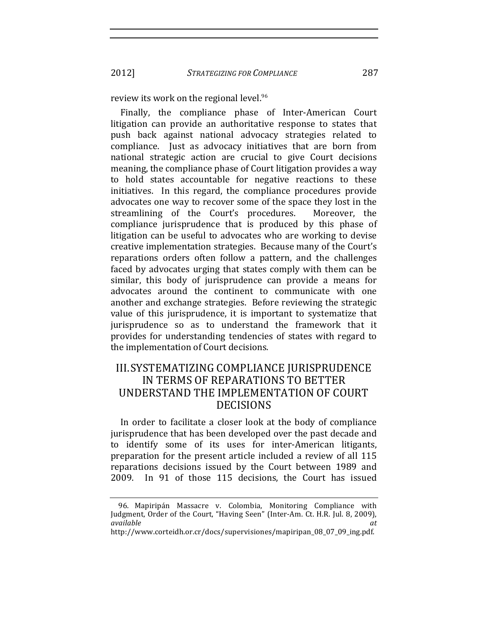2012] *STRATEGIZING FOR COMPLIANCE* 287

review its work on the regional level.<sup>96</sup>

Finally, the compliance phase of Inter-American Court litigation can provide an authoritative response to states that push back against national advocacy strategies related to compliance. Iust as advocacy initiatives that are born from national strategic action are crucial to give Court decisions meaning, the compliance phase of Court litigation provides a way to hold states accountable for negative reactions to these initiatives. In this regard, the compliance procedures provide advocates one way to recover some of the space they lost in the streamlining of the Court's procedures. Moreover, the compliance jurisprudence that is produced by this phase of litigation can be useful to advocates who are working to devise creative implementation strategies. Because many of the Court's reparations orders often follow a pattern, and the challenges faced by advocates urging that states comply with them can be similar, this body of jurisprudence can provide a means for advocates around the continent to communicate with one another and exchange strategies. Before reviewing the strategic value of this jurisprudence, it is important to systematize that jurisprudence so as to understand the framework that it provides for understanding tendencies of states with regard to the implementation of Court decisions.

## III.SYSTEMATIZING COMPLIANCE JURISPRUDENCE IN TERMS OF REPARATIONS TO BETTER UNDERSTAND THE IMPLEMENTATION OF COURT DECISIONS

In order to facilitate a closer look at the body of compliance jurisprudence that has been developed over the past decade and to identify some of its uses for inter-American litigants, preparation for the present article included a review of all 115 reparations decisions issued by the Court between 1989 and 2009. In 91 of those 115 decisions, the Court has issued

<sup>96.</sup> Mapiripán Massacre v. Colombia, Monitoring Compliance with Judgment, Order of the Court, "Having Seen" (Inter-Am. Ct. H.R. Jul. 8, 2009), *available! at*

http://www.corteidh.or.cr/docs/supervisiones/mapiripan\_08\_07\_09\_ing.pdf.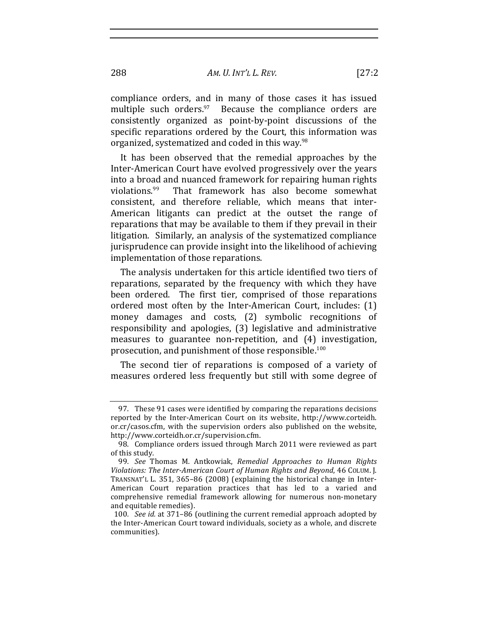compliance orders, and in many of those cases it has issued multiple such orders. $97$  Because the compliance orders are consistently organized as point-by-point discussions of the specific reparations ordered by the Court, this information was organized, systematized and coded in this way.<sup>98</sup>

It has been observed that the remedial approaches by the Inter-American Court have evolved progressively over the years into a broad and nuanced framework for repairing human rights violations.<sup>99</sup> That framework has also become somewhat consistent, and therefore reliable, which means that inter-American litigants can predict at the outset the range of reparations that may be available to them if they prevail in their litigation. Similarly, an analysis of the systematized compliance jurisprudence can provide insight into the likelihood of achieving implementation of those reparations.

The analysis undertaken for this article identified two tiers of reparations, separated by the frequency with which they have been ordered. The first tier, comprised of those reparations ordered most often by the Inter-American Court, includes: (1) money damages and costs, (2) symbolic recognitions of responsibility and apologies, (3) legislative and administrative measures to guarantee non-repetition, and (4) investigation, prosecution, and punishment of those responsible.<sup>100</sup>

The second tier of reparations is composed of a variety of measures ordered less frequently but still with some degree of

<sup>97.</sup> These 91 cases were identified by comparing the reparations decisions reported by the Inter-American Court on its website, http://www.corteidh. or.cr/casos.cfm, with the supervision orders also published on the website, http://www.corteidh.or.cr/supervision.cfm.

<sup>98.</sup> Compliance orders issued through March 2011 were reviewed as part of this study.

<sup>99.</sup> *See* Thomas M. Antkowiak, *Remedial Approaches to Human Rights Violations: The Inter-American Court of Human Rights and Beyond, 46 COLUM. J.* TRANSNAT'L L. 351, 365–86 (2008) (explaining the historical change in Inter-American Court reparation practices that has led to a varied and comprehensive remedial framework allowing for numerous non-monetary and equitable remedies).

<sup>100.</sup> *See id.* at 371–86 (outlining the current remedial approach adopted by the Inter-American Court toward individuals, society as a whole, and discrete communities).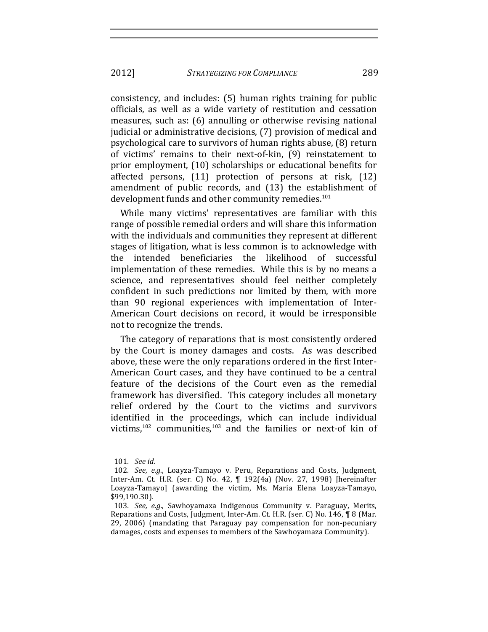2012] *STRATEGIZING FOR COMPLIANCE* 289

consistency, and includes: (5) human rights training for public officials, as well as a wide variety of restitution and cessation measures, such as: (6) annulling or otherwise revising national judicial or administrative decisions, (7) provision of medical and psychological care to survivors of human rights abuse, (8) return of victims' remains to their next-of-kin, (9) reinstatement to prior employment, (10) scholarships or educational benefits for affected persons,  $(11)$  protection of persons at risk,  $(12)$ amendment of public records, and  $(13)$  the establishment of development funds and other community remedies.<sup>101</sup>

While many victims' representatives are familiar with this range of possible remedial orders and will share this information with the individuals and communities they represent at different stages of litigation, what is less common is to acknowledge with the intended beneficiaries the likelihood of successful implementation of these remedies. While this is by no means a science, and representatives should feel neither completely confident in such predictions nor limited by them, with more than 90 regional experiences with implementation of Inter-American Court decisions on record, it would be irresponsible not to recognize the trends.

The category of reparations that is most consistently ordered by the Court is money damages and costs. As was described above, these were the only reparations ordered in the first Inter-American Court cases, and they have continued to be a central feature of the decisions of the Court even as the remedial framework has diversified. This category includes all monetary relief ordered by the Court to the victims and survivors identified in the proceedings, which can include individual victims, $102$  communities, $103$  and the families or next-of kin of

<sup>101</sup>*. See id.*

<sup>102.</sup> *See, e.g.*, Loayza-Tamayo v. Peru, Reparations and Costs, Judgment, Inter-Am. Ct. H.R. (ser. C) No. 42, ¶ 192(4a) (Nov. 27, 1998) [hereinafter Loayza-Tamayo] (awarding the victim, Ms. Maria Elena Loayza-Tamayo, \$99,190.30).

<sup>103</sup>*. See, e.g.*, Sawhoyamaxa Indigenous Community v. Paraguay, Merits, Reparations and Costs, Judgment, Inter-Am. Ct. H.R. (ser. C) No. 146, ¶ 8 (Mar. 29, 2006) (mandating that Paraguay pay compensation for non-pecuniary damages, costs and expenses to members of the Sawhoyamaza Community).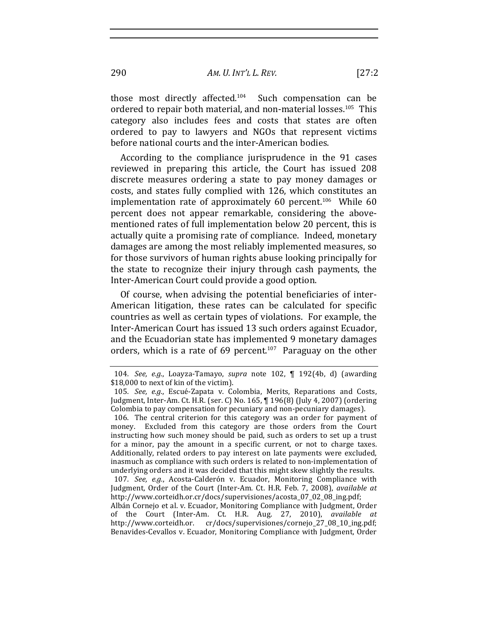290 *AM. U. INT'L!L. REV.* [27:2

those most directly affected.<sup>104</sup> Such compensation can be ordered to repair both material, and non-material losses.<sup>105</sup> This category also includes fees and costs that states are often ordered to pay to lawyers and NGOs that represent victims before national courts and the inter-American bodies.

According to the compliance jurisprudence in the 91 cases reviewed in preparing this article, the Court has issued 208 discrete measures ordering a state to pay money damages or costs, and states fully complied with 126, which constitutes an implementation rate of approximately 60 percent.<sup>106</sup> While  $60$ percent does not appear remarkable, considering the abovementioned rates of full implementation below 20 percent, this is actually quite a promising rate of compliance. Indeed, monetary damages are among the most reliably implemented measures, so for those survivors of human rights abuse looking principally for the state to recognize their injury through cash payments, the Inter-American Court could provide a good option.

Of course, when advising the potential beneficiaries of inter-American litigation, these rates can be calculated for specific countries as well as certain types of violations. For example, the Inter-American Court has issued 13 such orders against Ecuador, and the Ecuadorian state has implemented 9 monetary damages orders, which is a rate of 69 percent.<sup>107</sup> Paraguay on the other

<sup>104</sup>*. See, e.g.*, Loayza-Tamayo, *supra* note 102, ¶ 192(4b, d) (awarding \$18,000 to next of kin of the victim).

<sup>105</sup>*. See, e.g.*, Escué-Zapata v. Colombia, Merits, Reparations and Costs, Judgment, Inter-Am. Ct. H.R. (ser. C) No. 165,  $\P$  196(8) (July 4, 2007) (ordering Colombia to pay compensation for pecuniary and non-pecuniary damages).

<sup>106.</sup> The central criterion for this category was an order for payment of money. Excluded from this category are those orders from the Court instructing how such money should be paid, such as orders to set up a trust for a minor, pay the amount in a specific current, or not to charge taxes. Additionally, related orders to pay interest on late payments were excluded, inasmuch as compliance with such orders is related to non-implementation of underlying orders and it was decided that this might skew slightly the results.

<sup>107</sup>*. See, e.g.*, Acosta-Calderón v. Ecuador, Monitoring Compliance with Judgment, Order of the Court (Inter-Am. Ct. H.R. Feb. 7, 2008), *available at* http://www.corteidh.or.cr/docs/supervisiones/acosta\_07\_02\_08\_ing.pdf;

Albán Cornejo et al. v. Ecuador, Monitoring Compliance with Judgment, Order of the Court (Inter-Am. Ct. H.R. Aug. 27, 2010), *available at* http://www.corteidh.or. cr/docs/supervisiones/cornejo\_27\_08\_10\_ing.pdf; Benavides-Cevallos v. Ecuador, Monitoring Compliance with Judgment, Order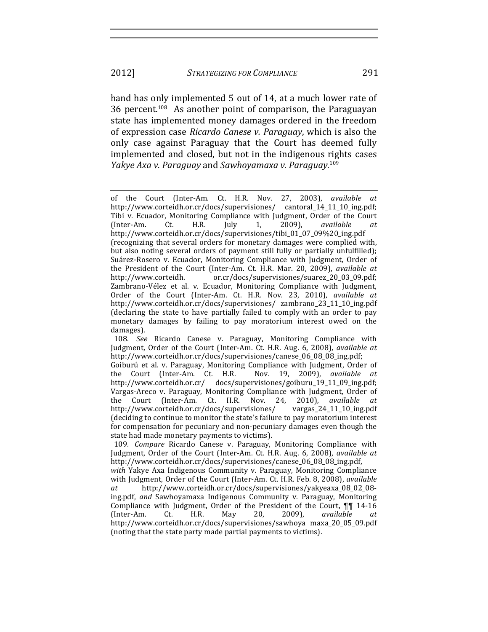hand has only implemented 5 out of 14, at a much lower rate of 36 percent.<sup>108</sup> As another point of comparison, the Paraguayan state has implemented money damages ordered in the freedom of expression case *Ricardo Canese v. Paraguay*, which is also the only case against Paraguay that the Court has deemed fully implemented and closed, but not in the indigenous rights cases *Yakye Axa v. Paraguay* and *Sawhoyamaxa v. Paraguay*.<sup>109</sup>

108. *See* Ricardo Canese v. Paraguay, Monitoring Compliance with Judgment, Order of the Court (Inter-Am. Ct. H.R. Aug. 6, 2008), *available at* http://www.corteidh.or.cr/docs/supervisiones/canese\_06\_08\_08\_ing.pdf;

Goiburú et al. v. Paraguay, Monitoring Compliance with Judgment, Order of the Court (Inter-Am. Ct. H.R. Nov. 19, 2009), *available at* http://www.corteidh.or.cr/ docs/supervisiones/goiburu\_19\_11\_09\_ing.pdf;! Vargas-Areco v. Paraguay, Monitoring Compliance with Judgment, Order of the Court (Inter-Am. Ct. H.R. Nov. 24, 2010), *available at* http://www.corteidh.or.cr/docs/supervisiones/ vargas\_24\_11\_10\_ing.pdf! (deciding to continue to monitor the state's failure to pay moratorium interest for compensation for pecuniary and non-pecuniary damages even though the state had made monetary payments to victims).

109*. Compare* Ricardo Canese v. Paraguay, Monitoring Compliance with Judgment, Order of the Court (Inter-Am. Ct. H.R. Aug. 6, 2008), *available at* http://www.corteidh.or.cr/docs/supervisiones/canese\_06\_08\_08\_ing.pdf,

with Yakye Axa Indigenous Community v. Paraguay, Monitoring Compliance with Judgment, Order of the Court (Inter-Am. Ct. H.R. Feb. 8, 2008), *available* at http://www.corteidh.or.cr/docs/supervisiones/yakyeaxa\_08\_02\_08ing.pdf, and Sawhoyamaxa Indigenous Community v. Paraguay, Monitoring Compliance with Judgment, Order of the President of the Court,  $\P\P$  14-16 (Inter-Am. Ct. H.R. May 20, 2009), *available* http://www.corteidh.or.cr/docs/supervisiones/sawhoya maxa\_20\_05\_09.pdf! (noting that the state party made partial payments to victims).

of the Court (Inter-Am. Ct. H.R. Nov. 27, 2003), *available at* http://www.corteidh.or.cr/docs/supervisiones/ cantoral\_14\_11\_10\_ing.pdf; Tibi v. Ecuador, Monitoring Compliance with Judgment, Order of the Court (Inter-Am. Ct. H.R. July 1, 2009), *available at* http://www.corteidh.or.cr/docs/supervisiones/tibi\_01\_07\_09%20\_ing.pdf! (recognizing that several orders for monetary damages were complied with, but also noting several orders of payment still fully or partially unfulfilled); Suárez-Rosero v. Ecuador, Monitoring Compliance with Judgment, Order of the President of the Court (Inter-Am. Ct. H.R. Mar. 20, 2009), *available at* http://www.corteidh. or.cr/docs/supervisiones/suarez\_20\_03\_09.pdf; Zambrano-Vélez et al. v. Ecuador, Monitoring Compliance with Judgment, Order of the Court (Inter-Am. Ct. H.R. Nov. 23, 2010), *available at* http://www.corteidh.or.cr/docs/supervisiones/ zambrano\_23\_11\_10\_ing.pdf! (declaring the state to have partially failed to comply with an order to pay monetary damages by failing to pay moratorium interest owed on the damages).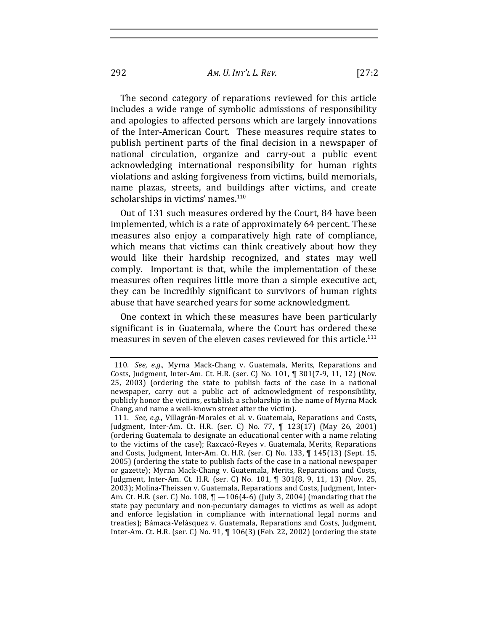292 *AM. U. INT'L!L. REV.* [27:2

The second category of reparations reviewed for this article includes a wide range of symbolic admissions of responsibility and apologies to affected persons which are largely innovations of the Inter-American Court. These measures require states to publish pertinent parts of the final decision in a newspaper of national circulation, organize and carry-out a public event acknowledging international responsibility for human rights violations and asking forgiveness from victims, build memorials, name plazas, streets, and buildings after victims, and create scholarships in victims' names.<sup>110</sup>

Out of 131 such measures ordered by the Court, 84 have been implemented, which is a rate of approximately 64 percent. These measures also enjoy a comparatively high rate of compliance, which means that victims can think creatively about how they would like their hardship recognized, and states may well comply. Important is that, while the implementation of these measures often requires little more than a simple executive act, they can be incredibly significant to survivors of human rights abuse that have searched years for some acknowledgment.

One context in which these measures have been particularly significant is in Guatemala, where the Court has ordered these measures in seven of the eleven cases reviewed for this article.<sup>111</sup>

<sup>110.</sup> *See, e.g.*, Myrna Mack-Chang v. Guatemala, Merits, Reparations and Costs, Judgment, Inter-Am. Ct. H.R. (ser. C) No. 101, ¶ 301(7-9, 11, 12) (Nov. 25, 2003) (ordering the state to publish facts of the case in a national newspaper, carry out a public act of acknowledgment of responsibility, publicly honor the victims, establish a scholarship in the name of Myrna Mack Chang, and name a well-known street after the victim).

<sup>111.</sup> *See, e.g.*, Villagrán-Morales et al. v. Guatemala, Reparations and Costs, Judgment, Inter-Am. Ct. H.R. (ser. C) No. 77, ¶ 123(17) (May 26, 2001) (ordering Guatemala to designate an educational center with a name relating to the victims of the case); Raxcacó-Reyes v. Guatemala, Merits, Reparations and Costs, Judgment, Inter-Am. Ct. H.R. (ser. C) No.  $133$ ,  $\P$   $145(13)$  (Sept. 15, 2005) (ordering the state to publish facts of the case in a national newspaper or gazette); Myrna Mack-Chang v. Guatemala, Merits, Reparations and Costs, Judgment, Inter-Am. Ct. H.R. (ser. C) No. 101, ¶ 301(8, 9, 11, 13) (Nov. 25, 2003); Molina-Theissen v. Guatemala, Reparations and Costs, Judgment, Inter-Am. Ct. H.R. (ser. C) No. 108,  $\P$  -106(4-6) (July 3, 2004) (mandating that the state pay pecuniary and non-pecuniary damages to victims as well as adopt and enforce legislation in compliance with international legal norms and treaties); Bámaca-Velásquez v. Guatemala, Reparations and Costs, Judgment, Inter-Am. Ct. H.R. (ser. C) No. 91, ¶ 106(3) (Feb. 22, 2002) (ordering the state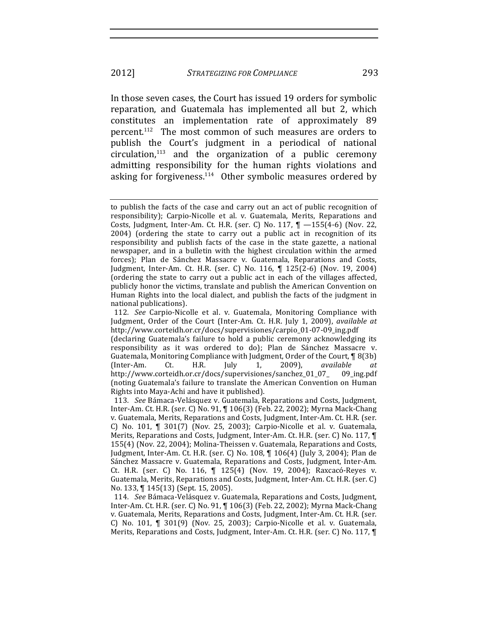In those seven cases, the Court has issued 19 orders for symbolic reparation, and Guatemala has implemented all but 2, which constitutes an implementation rate of approximately 89 percent.<sup>112</sup> The most common of such measures are orders to publish the Court's judgment in a periodical of national  $circulation<sub>113</sub>$  and the organization of a public ceremony admitting responsibility for the human rights violations and asking for forgiveness. $114$  Other symbolic measures ordered by

to publish the facts of the case and carry out an act of public recognition of responsibility); Carpio-Nicolle et al. v. Guatemala, Merits, Reparations and Costs, Judgment, Inter-Am. Ct. H.R. (ser. C) No.  $117$ ,  $\P$   $-155(4-6)$  (Nov. 22, 2004) (ordering the state to carry out a public act in recognition of its responsibility and publish facts of the case in the state gazette, a national newspaper, and in a bulletin with the highest circulation within the armed forces); Plan de Sánchez Massacre v. Guatemala, Reparations and Costs, Judgment, Inter-Am. Ct. H.R. (ser. C) No. 116, ¶ 125(2-6) (Nov. 19, 2004) (ordering the state to carry out a public act in each of the villages affected, publicly honor the victims, translate and publish the American Convention on Human Rights into the local dialect, and publish the facts of the judgment in national publications).

<sup>112.</sup> See Carpio-Nicolle et al. v. Guatemala, Monitoring Compliance with Judgment, Order of the Court (Inter-Am. Ct. H.R. July 1, 2009), *available at* http://www.corteidh.or.cr/docs/supervisiones/carpio\_01-07-09\_ing.pdf (declaring Guatemala's failure to hold a public ceremony acknowledging its responsibility as it was ordered to do); Plan de Sánchez Massacre v. Guatemala, Monitoring Compliance with Judgment, Order of the Court, ¶ 8(3b) (Inter-Am. Ct. H.R. July 1, 2009), *available at* http://www.corteidh.or.cr/docs/supervisiones/sanchez\_01\_07\_ 09\_ing.pdf! (noting Guatemala's failure to translate the American Convention on Human Rights into Maya-Achi and have it published).

<sup>113.</sup> *See* Bámaca-Velásquez v. Guatemala, Reparations and Costs, Judgment, Inter-Am. Ct. H.R. (ser. C) No. 91, ¶ 106(3) (Feb. 22, 2002); Myrna Mack-Chang v. Guatemala, Merits, Reparations and Costs, Judgment, Inter-Am. Ct. H.R. (ser. C) No. 101, ¶ 301(7) (Nov. 25, 2003); Carpio-Nicolle et al. v. Guatemala, Merits, Reparations and Costs, Judgment, Inter-Am. Ct. H.R. (ser. C) No. 117,  $\P$ 155(4) (Nov. 22, 2004); Molina-Theissen v. Guatemala, Reparations and Costs, Judgment, Inter-Am. Ct. H.R. (ser. C) No. 108,  $\P$  106(4) (July 3, 2004); Plan de Sánchez Massacre v. Guatemala, Reparations and Costs, Judgment, Inter-Am. Ct. H.R. (ser. C) No. 116, ¶ 125(4) (Nov. 19, 2004); Raxcacó-Reyes v. Guatemala, Merits, Reparations and Costs, Judgment, Inter-Am. Ct. H.R. (ser. C) No. 133, ¶ 145(13) (Sept. 15, 2005).

<sup>114.</sup> *See* Bámaca-Velásquez v. Guatemala, Reparations and Costs, Judgment, Inter-Am. Ct. H.R. (ser. C) No. 91, ¶ 106(3) (Feb. 22, 2002); Myrna Mack-Chang v. Guatemala, Merits, Reparations and Costs, Judgment, Inter-Am. Ct. H.R. (ser. C) No. 101, ¶ 301(9) (Nov. 25, 2003); Carpio-Nicolle et al. v. Guatemala, Merits, Reparations and Costs, Judgment, Inter-Am. Ct. H.R. (ser. C) No. 117, ¶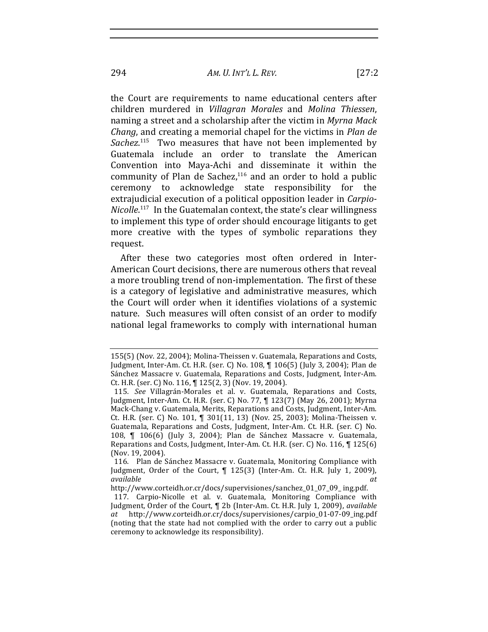the Court are requirements to name educational centers after children! murdered! in! *Villagran! Morales*! and! *Molina! Thiessen*,! naming a street and a scholarship after the victim in *Myrna Mack Chang*, and creating a memorial chapel for the victims in *Plan de* Sachez.<sup>115</sup> Two measures that have not been implemented by Guatemala include an order to translate the American Convention into Maya-Achi and disseminate it within the community of Plan de Sachez, $116$  and an order to hold a public ceremony to acknowledge state responsibility for the extrajudicial execution of a political opposition leader in *Carpio-Nicolle*.<sup>117</sup> In the Guatemalan context, the state's clear willingness to implement this type of order should encourage litigants to get more creative with the types of symbolic reparations they

After these two categories most often ordered in Inter-American Court decisions, there are numerous others that reveal a more troubling trend of non-implementation. The first of these is a category of legislative and administrative measures, which the Court will order when it identifies violations of a systemic nature. Such measures will often consist of an order to modify national legal frameworks to comply with international human

http://www.corteidh.or.cr/docs/supervisiones/sanchez\_01\_07\_09\_ ing.pdf.

request.

<sup>155(5) (</sup>Nov. 22, 2004); Molina-Theissen v. Guatemala, Reparations and Costs, Judgment, Inter-Am. Ct. H.R. (ser. C) No. 108, ¶ 106(5) (July 3, 2004); Plan de Sánchez Massacre v. Guatemala, Reparations and Costs, Judgment, Inter-Am. Ct. H.R. (ser. C) No. 116,  $\P$  125(2, 3) (Nov. 19, 2004).

<sup>115.</sup> See Villagrán-Morales et al. v. Guatemala, Reparations and Costs, Judgment, Inter-Am. Ct. H.R. (ser. C) No. 77, ¶ 123(7) (May 26, 2001); Myrna Mack-Chang v. Guatemala, Merits, Reparations and Costs, Judgment, Inter-Am. Ct. H.R. (ser. C) No. 101, ¶ 301(11, 13) (Nov. 25, 2003); Molina-Theissen v. Guatemala, Reparations and Costs, Judgment, Inter-Am. Ct. H.R. (ser. C) No. 108, ¶ 106(6) (July 3, 2004); Plan de Sánchez Massacre v. Guatemala, Reparations and Costs, Judgment, Inter-Am. Ct. H.R. (ser. C) No. 116, ¶ 125(6) (Nov. 19, 2004).

<sup>116.</sup> Plan de Sánchez Massacre v. Guatemala, Monitoring Compliance with Judgment, Order of the Court, ¶ 125(3) (Inter-Am. Ct. H.R. July 1, 2009), *available! at*

<sup>117.</sup> Carpio-Nicolle et al. v. Guatemala, Monitoring Compliance with Judgment, Order of the Court, ¶ 2b (Inter-Am. Ct. H.R. July 1, 2009), *available at* http://www.corteidh.or.cr/docs/supervisiones/carpio\_01-07-09\_ing.pdf (noting that the state had not complied with the order to carry out a public ceremony to acknowledge its responsibility).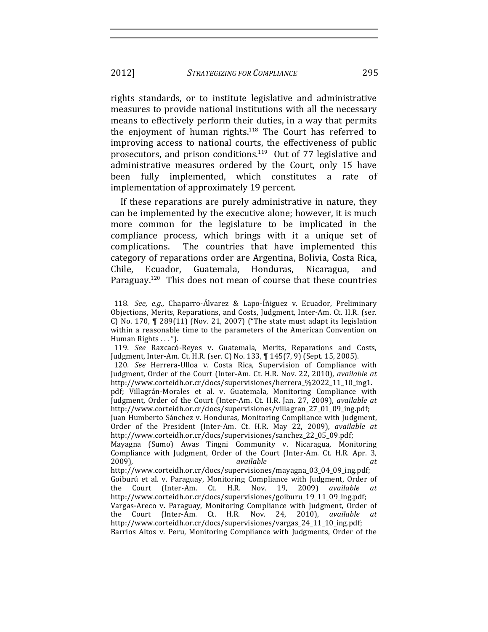rights standards, or to institute legislative and administrative measures to provide national institutions with all the necessary means to effectively perform their duties, in a way that permits the enjoyment of human rights. $118$  The Court has referred to improving access to national courts, the effectiveness of public prosecutors, and prison conditions.<sup>119</sup> Out of 77 legislative and administrative measures ordered by the Court, only 15 have been fully implemented, which constitutes a rate of implementation of approximately 19 percent.

If these reparations are purely administrative in nature, they can be implemented by the executive alone; however, it is much more common for the legislature to be implicated in the compliance process, which brings with it a unique set of complications. The countries that have implemented this category of reparations order are Argentina, Bolivia, Costa Rica, Chile, Ecuador, Guatemala, Honduras, Nicaragua, and Paraguay.<sup>120</sup> This does not mean of course that these countries

<sup>118.</sup> *See, e.g.*, Chaparro-Álvarez & Lapo-Íñiguez v. Ecuador, Preliminary Objections, Merits, Reparations, and Costs, Judgment, Inter-Am. Ct. H.R. (ser. C) No. 170,  $\P$  289(11) (Nov. 21, 2007) ("The state must adapt its legislation within a reasonable time to the parameters of the American Convention on Human Rights . . . ").

<sup>119.</sup> *See* Raxcacó-Reyes v. Guatemala, Merits, Reparations and Costs, Judgment, Inter-Am. Ct. H.R. (ser. C) No. 133, ¶ 145(7, 9) (Sept. 15, 2005).

<sup>120</sup>*. See* Herrera-Ulloa v. Costa Rica, Supervision of Compliance with Judgment, Order of the Court (Inter-Am. Ct. H.R. Nov. 22, 2010), *available at* http://www.corteidh.or.cr/docs/supervisiones/herrera\_%2022\_11\_10\_ing1. pdf; Villagrán-Morales et al. v. Guatemala, Monitoring Compliance with

Judgment, Order of the Court (Inter-Am. Ct. H.R. Jan. 27, 2009), *available at* http://www.corteidh.or.cr/docs/supervisiones/villagran\_27\_01\_09\_ing.pdf;

Juan Humberto Sánchez v. Honduras, Monitoring Compliance with Judgment, Order of the President (Inter-Am. Ct. H.R. May 22, 2009), *available at* http://www.corteidh.or.cr/docs/supervisiones/sanchez\_22\_05\_09.pdf;

Mayagna (Sumo) Awas Tingni Community v. Nicaragua, Monitoring Compliance with Judgment, Order of the Court (Inter-Am. Ct. H.R. Apr. 3, 2009),! *available! at*

http://www.corteidh.or.cr/docs/supervisiones/mayagna\_03\_04\_09\_ing.pdf; Goiburú et al. v. Paraguay, Monitoring Compliance with Judgment, Order of the Court (Inter-Am. Ct. H.R. Nov. 19, 2009) *available at* http://www.corteidh.or.cr/docs/supervisiones/goiburu\_19\_11\_09\_ing.pdf;

Vargas-Areco v. Paraguay, Monitoring Compliance with Judgment, Order of the Court (Inter-Am. Ct. H.R. Nov. 24, 2010), *available* http://www.corteidh.or.cr/docs/supervisiones/vargas\_24\_11\_10\_ing.pdf;

Barrios Altos v. Peru, Monitoring Compliance with Judgments, Order of the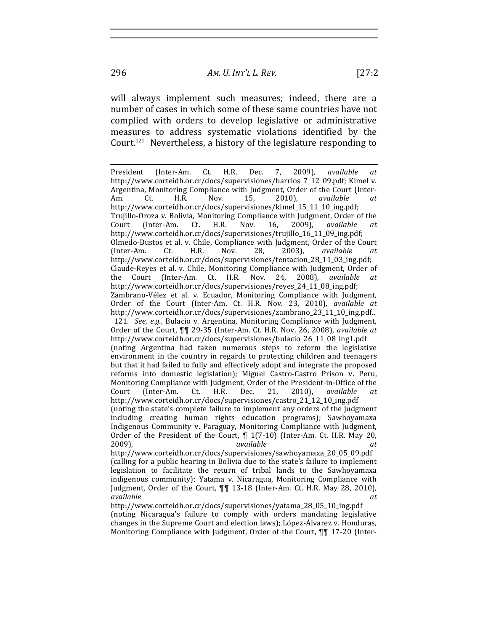will always implement such measures; indeed, there are a number of cases in which some of these same countries have not complied with orders to develop legislative or administrative measures to address systematic violations identified by the Court.<sup>121</sup> Nevertheless, a history of the legislature responding to

President (Inter-Am. Ct. H.R. Dec. 7, 2009), *available at* http://www.corteidh.or.cr/docs/supervisiones/barrios\_7\_12\_09.pdf; Kimel v. Argentina, Monitoring Compliance with Judgment, Order of the Court (Inter-Am.! Ct.! H.R.! Nov.! 15,! 2010),! *available! at* http://www.corteidh.or.cr/docs/supervisiones/kimel\_15\_11\_10\_ing.pdf; Trujillo-Oroza v. Bolivia, Monitoring Compliance with Judgment, Order of the Court (Inter-Am. Ct. H.R. Nov. 16, 2009), *available at* http://www.corteidh.or.cr/docs/supervisiones/trujillo\_16\_11\_09\_ing.pdf; Olmedo-Bustos et al. v. Chile, Compliance with Judgment, Order of the Court (Inter-Am. Ct. H.R. Nov. 28, 2003), *available at* http://www.corteidh.or.cr/docs/supervisiones/tentacion\_28\_11\_03\_ing.pdf; Claude-Reyes et al. v. Chile, Monitoring Compliance with Judgment, Order of the Court (Inter-Am. Ct. H.R. Nov. 24, 2008), *available at* http://www.corteidh.or.cr/docs/supervisiones/reyes\_24\_11\_08\_ing.pdf; Zambrano-Vélez et al. v. Ecuador, Monitoring Compliance with Judgment, Order of the Court (Inter-Am. Ct. H.R. Nov. 23, 2010), *available at* http://www.corteidh.or.cr/docs/supervisiones/zambrano\_23\_11\_10\_ing.pdf.. 121*. See, e.g.*, Bulacio v. Argentina, Monitoring Compliance with Judgment, Order of the Court,  $\P$ <sub>1</sub> 29-35 (Inter-Am. Ct. H.R. Nov. 26, 2008), *available at* http://www.corteidh.or.cr/docs/supervisiones/bulacio\_26\_11\_08\_ing1.pdf! (noting Argentina had taken numerous steps to reform the legislative environment in the country in regards to protecting children and teenagers but that it had failed to fully and effectively adopt and integrate the proposed reforms into domestic legislation); Miguel Castro-Castro Prison v. Peru, Monitoring Compliance with Judgment, Order of the President-in-Office of the Court (Inter-Am. Ct. H.R. Dec. 21, 2010), *available at* http://www.corteidh.or.cr/docs/supervisiones/castro\_21\_12\_10\_ing.pdf! (noting the state's complete failure to implement any orders of the judgment including creating human rights education programs); Sawhoyamaxa Indigenous Community v. Paraguay, Monitoring Compliance with Judgment, Order of the President of the Court,  $\P$  1(7-10) (Inter-Am. Ct. H.R. May 20, 2009),! *available! at* http://www.corteidh.or.cr/docs/supervisiones/sawhoyamaxa\_20\_05\_09.pdf! (calling for a public hearing in Bolivia due to the state's failure to implement legislation to facilitate the return of tribal lands to the Sawhoyamaxa indigenous community); Yatama v. Nicaragua, Monitoring Compliance with Judgment, Order of the Court,  $\P\P$  13-18 (Inter-Am. Ct. H.R. May 28, 2010), *available! at*

http://www.corteidh.or.cr/docs/supervisiones/yatama\_28\_05\_10\_ing.pdf! (noting Nicaragua's failure to comply with orders mandating legislative changes in the Supreme Court and election laws); López-Álvarez v. Honduras, Monitoring Compliance with Judgment, Order of the Court, **¶¶** 17-20 (Inter-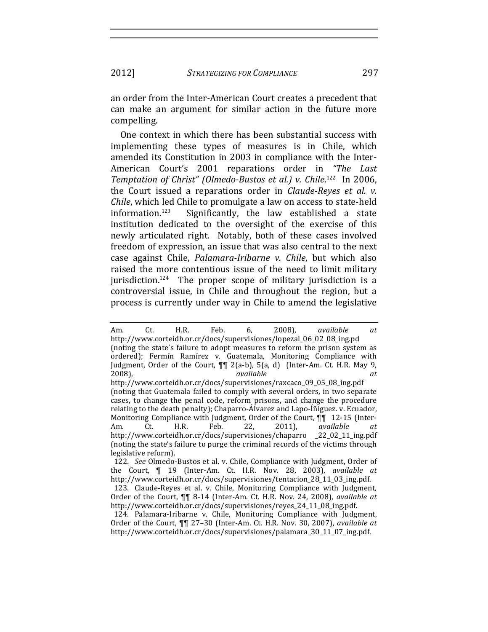an order from the Inter-American Court creates a precedent that can make an argument for similar action in the future more compelling.

One context in which there has been substantial success with implementing these types of measures is in Chile, which amended its Constitution in 2003 in compliance with the Inter-American Court's 2001 reparations order in "The Last Temptation of Christ" (Olmedo-Bustos et al.) v. Chile.<sup>122</sup> In 2006, the Court issued a reparations order in *Claude-Reyes et al. v.* Chile, which led Chile to promulgate a law on access to state-held information. $123$ Significantly, the law established a state institution dedicated to the oversight of the exercise of this newly articulated right. Notably, both of these cases involved freedom of expression, an issue that was also central to the next case against Chile, *Palamara-Iribarne v. Chile*, but which also raised the more contentious issue of the need to limit military jurisdiction.<sup>124</sup> The proper scope of military jurisdiction is a controversial issue, in Chile and throughout the region, but a process is currently under way in Chile to amend the legislative

Ct. H.R. Feb.  $2008$ ), available Am. 6, at http://www.corteidh.or.cr/docs/supervisiones/lopezal 06 02 08 ing.pd (noting the state's failure to adopt measures to reform the prison system as ordered); Fermín Ramírez v. Guatemala, Monitoring Compliance with Judgment, Order of the Court, ¶¶ 2(a-b), 5(a, d) (Inter-Am. Ct. H.R. May 9,  $2008$ ), available  $at$ 

http://www.corteidh.or.cr/docs/supervisiones/raxcaco\_09\_05\_08\_ing.pdf (noting that Guatemala failed to comply with several orders, in two separate cases, to change the penal code, reform prisons, and change the procedure relating to the death penalty); Chaparro-Álvarez and Lapo-Íñiguez. v. Ecuador, Monitoring Compliance with Judgment, Order of the Court, ¶¶ 12-15 (Inter-Am.  $H.R.$ Feb. Ct. 22,  $2011$ ), available at. http://www.corteidh.or.cr/docs/supervisiones/chaparro  $22_02_11$  ing.pdf (noting the state's failure to purge the criminal records of the victims through legislative reform).

<sup>122.</sup> See Olmedo-Bustos et al. v. Chile, Compliance with Judgment, Order of the Court, ¶ 19 (Inter-Am. Ct. H.R. Nov. 28, 2003), available at http://www.corteidh.or.cr/docs/supervisiones/tentacion\_28\_11\_03\_ing.pdf. 123. Claude-Reyes et al. v. Chile, Monitoring Compliance with Judgment, Order of the Court, ¶¶ 8-14 (Inter-Am. Ct. H.R. Nov. 24, 2008), available at

http://www.corteidh.or.cr/docs/supervisiones/reyes\_24\_11\_08\_ing.pdf. 124. Palamara-Iribarne v. Chile, Monitoring Compliance with Judgment,

Order of the Court, ¶¶ 27-30 (Inter-Am. Ct. H.R. Nov. 30, 2007), available at http://www.corteidh.or.cr/docs/supervisiones/palamara\_30\_11\_07\_ing.pdf.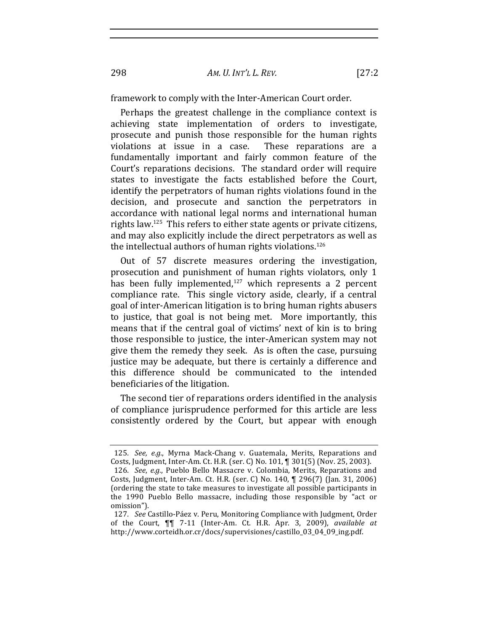298 *AM. U. INT'L!L. REV.* [27:2

framework to comply with the Inter-American Court order.

Perhaps the greatest challenge in the compliance context is achieving state implementation of orders to investigate, prosecute and punish those responsible for the human rights violations at issue in a case. These reparations are a fundamentally important and fairly common feature of the Court's reparations decisions. The standard order will require states to investigate the facts established before the Court, identify the perpetrators of human rights violations found in the decision, and prosecute and sanction the perpetrators in accordance with national legal norms and international human rights law.<sup>125</sup> This refers to either state agents or private citizens. and may also explicitly include the direct perpetrators as well as the intellectual authors of human rights violations. $126$ 

Out of 57 discrete measures ordering the investigation, prosecution and punishment of human rights violators, only 1 has been fully implemented, $127$  which represents a 2 percent compliance rate. This single victory aside, clearly, if a central goal of inter-American litigation is to bring human rights abusers to justice, that goal is not being met. More importantly, this means that if the central goal of victims' next of kin is to bring those responsible to justice, the inter-American system may not give them the remedy they seek. As is often the case, pursuing justice may be adequate, but there is certainly a difference and this difference should be communicated to the intended beneficiaries of the litigation.

The second tier of reparations orders identified in the analysis of compliance jurisprudence performed for this article are less consistently ordered by the Court, but appear with enough

<sup>125.</sup> *See, e.g.*, Myrna Mack-Chang v. Guatemala, Merits, Reparations and Costs, Judgment, Inter-Am. Ct. H.R. (ser. C) No. 101, ¶ 301(5) (Nov. 25, 2003). 126. *See, e.g.*, Pueblo Bello Massacre v. Colombia, Merits, Reparations and Costs, Judgment, Inter-Am. Ct. H.R. (ser. C) No. 140, ¶ 296(7) (Jan. 31, 2006) (ordering the state to take measures to investigate all possible participants in the 1990 Pueblo Bello massacre, including those responsible by "act or omission").

<sup>127.</sup> *See* Castillo-Páez v. Peru, Monitoring Compliance with Judgment, Order of the Court,  $\P$ <sub>1</sub> 7-11 (Inter-Am. Ct. H.R. Apr. 3, 2009), *available at* http://www.corteidh.or.cr/docs/supervisiones/castillo\_03\_04\_09\_ing.pdf.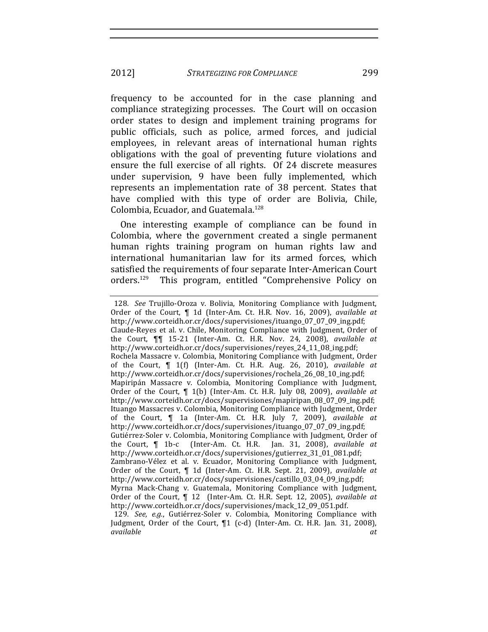frequency to be accounted for in the case planning and compliance strategizing processes. The Court will on occasion order states to design and implement training programs for public officials, such as police, armed forces, and judicial employees, in relevant areas of international human rights obligations with the goal of preventing future violations and ensure the full exercise of all rights. Of 24 discrete measures under supervision, 9 have been fully implemented, which represents an implementation rate of 38 percent. States that have complied with this type of order are Bolivia, Chile, Colombia, Ecuador, and Guatemala.<sup>128</sup>

One interesting example of compliance can be found in Colombia, where the government created a single permanent human rights training program on human rights law and international humanitarian law for its armed forces, which satisfied the requirements of four separate Inter-American Court orders.<sup>129</sup> This program, entitled "Comprehensive Policy on

<sup>128</sup>*. See* Trujillo-Oroza v. Bolivia, Monitoring Compliance with Judgment, Order of the Court, *¶* 1d (Inter-Am. Ct. H.R. Nov. 16, 2009), *available at* http://www.corteidh.or.cr/docs/supervisiones/ituango\_07\_07\_09\_ing.pdf; Claude-Reyes et al. v. Chile, Monitoring Compliance with Judgment, Order of the Court, **¶¶** 15-21 (Inter-Am. Ct. H.R. Nov. 24, 2008), *available at* http://www.corteidh.or.cr/docs/supervisiones/reyes\_24\_11\_08\_ing.pdf; Rochela Massacre v. Colombia, Monitoring Compliance with Judgment, Order of the Court,  $\P$  1(f) (Inter-Am. Ct. H.R. Aug. 26, 2010), *available at* http://www.corteidh.or.cr/docs/supervisiones/rochela\_26\_08\_10\_ing.pdf; Mapiripán Massacre v. Colombia, Monitoring Compliance with Judgment, Order of the Court, *[ 1(b)* (Inter-Am. Ct. H.R. July 08, 2009), *available at* http://www.corteidh.or.cr/docs/supervisiones/mapiripan\_08\_07\_09\_ing.pdf; Ituango Massacres v. Colombia, Monitoring Compliance with Judgment, Order of the Court, **¶** 1a (Inter-Am. Ct. H.R. July 7, 2009), *available at* http://www.corteidh.or.cr/docs/supervisiones/ituango\_07\_07\_09\_ing.pdf; Gutiérrez-Soler v. Colombia, Monitoring Compliance with Judgment, Order of the Court, **¶** 1b-c (Inter-Am. Ct. H.R. Jan. 31, 2008), *available at* http://www.corteidh.or.cr/docs/supervisiones/gutierrez\_31\_01\_081.pdf; Zambrano-Vélez et al. v. Ecuador, Monitoring Compliance with Judgment, Order of the Court, ¶ 1d (Inter-Am. Ct. H.R. Sept. 21, 2009), *available at* http://www.corteidh.or.cr/docs/supervisiones/castillo\_03\_04\_09\_ing.pdf; Myrna Mack-Chang v. Guatemala, Monitoring Compliance with Judgment, Order of the Court,  $\parallel$  12 (Inter-Am. Ct. H.R. Sept. 12, 2005), *available at* http://www.corteidh.or.cr/docs/supervisiones/mack\_12\_09\_051.pdf. 129*. See, e.g.*, Gutiérrez-Soler v. Colombia, Monitoring Compliance with

Judgment, Order of the Court,  $\P1$  (c-d) (Inter-Am. Ct. H.R. Jan. 31, 2008), *available! at*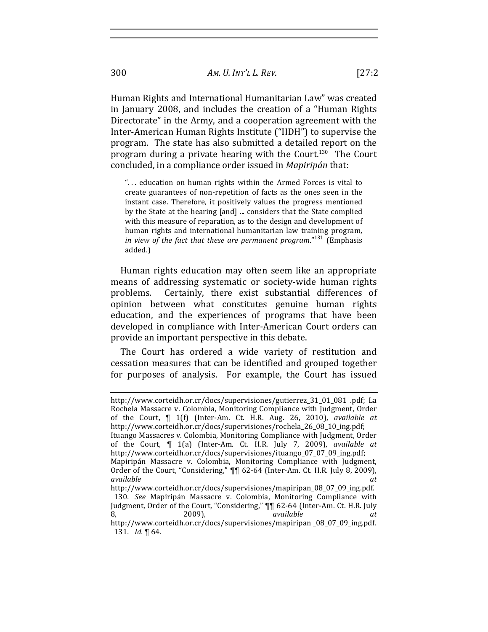Human Rights and International Humanitarian Law" was created in January 2008, and includes the creation of a "Human Rights" Directorate" in the Army, and a cooperation agreement with the Inter-American Human Rights Institute ("IIDH") to supervise the program. The state has also submitted a detailed report on the program during a private hearing with the Court.<sup>130</sup> The Court concluded, in a compliance order issued in Mapiripán that:

"... education on human rights within the Armed Forces is vital to create guarantees of non-repetition of facts as the ones seen in the instant case. Therefore, it positively values the progress mentioned by the State at the hearing [and] ... considers that the State complied with this measure of reparation, as to the design and development of human rights and international humanitarian law training program, in view of the fact that these are permanent program." $131$  (Emphasis added.)

Human rights education may often seem like an appropriate means of addressing systematic or society-wide human rights problems. Certainly, there exist substantial differences of opinion between what constitutes genuine human rights education, and the experiences of programs that have been developed in compliance with Inter-American Court orders can provide an important perspective in this debate.

The Court has ordered a wide variety of restitution and cessation measures that can be identified and grouped together for purposes of analysis. For example, the Court has issued

300

http://www.corteidh.or.cr/docs/supervisiones/gutierrez\_31\_01\_081\_pdf; La Rochela Massacre v. Colombia, Monitoring Compliance with Judgment, Order of the Court, ¶ 1(f) (Inter-Am. Ct. H.R. Aug. 26, 2010), available at http://www.corteidh.or.cr/docs/supervisiones/rochela\_26\_08\_10\_ing.pdf; Ituango Massacres v. Colombia, Monitoring Compliance with Judgment, Order of the Court, ¶ 1(a) (Inter-Am. Ct. H.R. July 7, 2009), available at http://www.corteidh.or.cr/docs/supervisiones/ituango\_07\_07\_09\_ing.pdf; Mapiripán Massacre v. Colombia, Monitoring Compliance with Judgment, Order of the Court, "Considering,"  $\P$  62-64 (Inter-Am. Ct. H.R. July 8, 2009), available  $at$ 

http://www.corteidh.or.cr/docs/supervisiones/mapiripan\_08\_07\_09\_ing.pdf. 130. See Mapiripán Massacre v. Colombia, Monitoring Compliance with Judgment, Order of the Court, "Considering," ¶¶ 62-64 (Inter-Am. Ct. H.R. July 8. 2009). available

http://www.corteidh.or.cr/docs/supervisiones/mapiripan\_08\_07\_09\_ing.pdf. 131. Id. ¶ 64.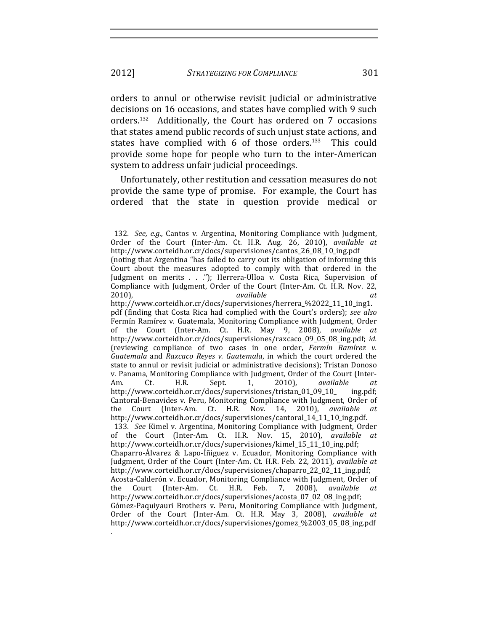orders to annul or otherwise revisit judicial or administrative decisions on 16 occasions, and states have complied with 9 such orders.<sup>132</sup> Additionally, the Court has ordered on 7 occasions that states amend public records of such unjust state actions, and states have complied with  $6$  of those orders.<sup>133</sup> This could provide some hope for people who turn to the inter-American system to address unfair judicial proceedings.

Unfortunately, other restitution and cessation measures do not provide the same type of promise. For example, the Court has ordered that the state in question provide medical or

.

<sup>132.</sup> *See, e.g.*, Cantos v. Argentina, Monitoring Compliance with Judgment, Order of the Court (Inter-Am. Ct. H.R. Aug. 26, 2010), *available at* http://www.corteidh.or.cr/docs/supervisiones/cantos 26 08 10 ing.pdf (noting that Argentina "has failed to carry out its obligation of informing this Court about the measures adopted to comply with that ordered in the Judgment on merits . . ."); Herrera-Ulloa v. Costa Rica, Supervision of Compliance with Judgment, Order of the Court (Inter-Am. Ct. H.R. Nov. 22, 2010), *available available at* http://www.corteidh.or.cr/docs/supervisiones/herrera\_%2022\_11\_10\_ing1. pdf (finding that Costa Rica had complied with the Court's orders); *see also* Fermín Ramírez v. Guatemala, Monitoring Compliance with Judgment, Order of the Court (Inter-Am. Ct. H.R. May 9, 2008), *available at* http://www.corteidh.or.cr/docs/supervisiones/raxcaco\_09\_05\_08\_ing.pdf; *id.* (reviewing compliance of two cases in one order, *Fermín Ramírez v. Guatemala* and *Raxcaco Reyes v. Guatemala*, in which the court ordered the state to annul or revisit judicial or administrative decisions); Tristan Donoso v. Panama, Monitoring Compliance with Judgment, Order of the Court (Inter-Am. Ct. H.R. Sept. 1, 2010), *available at* http://www.corteidh.or.cr/docs/supervisiones/tristan\_01\_09\_10\_ ing.pdf; Cantoral-Benavides v. Peru, Monitoring Compliance with Judgment, Order of the Court (Inter-Am. Ct. H.R. Nov. 14, 2010), *available* http://www.corteidh.or.cr/docs/supervisiones/cantoral\_14\_11\_10\_ing.pdf. 133. *See* Kimel v. Argentina, Monitoring Compliance with Judgment, Order of the Court (Inter-Am. Ct. H.R. Nov. 15, 2010), *available at* http://www.corteidh.or.cr/docs/supervisiones/kimel\_15\_11\_10\_ing.pdf; Chaparro-Álvarez & Lapo-Íñiguez v. Ecuador, Monitoring Compliance with Judgment, Order of the Court (Inter-Am. Ct. H.R. Feb. 22, 2011), *available at* http://www.corteidh.or.cr/docs/supervisiones/chaparro\_22\_02\_11\_ing.pdf; Acosta-Calderón v. Ecuador, Monitoring Compliance with Judgment, Order of the Court (Inter-Am. Ct. H.R. Feb. 7, 2008), *available at* http://www.corteidh.or.cr/docs/supervisiones/acosta\_07\_02\_08\_ing.pdf; Gómez-Paquiyauri Brothers v. Peru, Monitoring Compliance with Judgment, Order of the Court (Inter-Am. Ct. H.R. May 3, 2008), *available at* http://www.corteidh.or.cr/docs/supervisiones/gomez\_%2003\_05\_08\_ing.pdf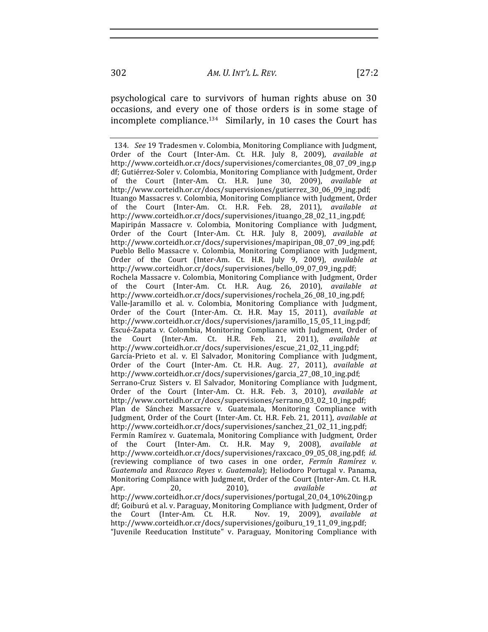psychological care to survivors of human rights abuse on 30 occasions, and every one of those orders is in some stage of incomplete compliance. $134$  Similarly, in 10 cases the Court has

<sup>134.</sup> *See* 19 Tradesmen v. Colombia, Monitoring Compliance with Judgment, Order of the Court (Inter-Am. Ct. H.R. July 8, 2009), *available at* http://www.corteidh.or.cr/docs/supervisiones/comerciantes\_08\_07\_09\_ing.p df; Gutiérrez-Soler v. Colombia, Monitoring Compliance with Judgment, Order of the Court (Inter-Am. Ct. H.R. June 30, 2009), *available at* http://www.corteidh.or.cr/docs/supervisiones/gutierrez\_30\_06\_09\_ing.pdf; Ituango Massacres v. Colombia, Monitoring Compliance with Judgment, Order of the Court (Inter-Am. Ct. H.R. Feb. 28, 2011), *available at* http://www.corteidh.or.cr/docs/supervisiones/ituango\_28\_02\_11\_ing.pdf; Mapiripán Massacre v. Colombia, Monitoring Compliance with Judgment, Order of the Court (Inter-Am. Ct. H.R. July 8, 2009), *available at* http://www.corteidh.or.cr/docs/supervisiones/mapiripan\_08\_07\_09\_ing.pdf; Pueblo Bello Massacre v. Colombia, Monitoring Compliance with Judgment, Order of the Court (Inter-Am. Ct. H.R. July 9, 2009), *available at* http://www.corteidh.or.cr/docs/supervisiones/bello\_09\_07\_09\_ing.pdf; Rochela Massacre v. Colombia, Monitoring Compliance with Judgment, Order of the Court (Inter-Am. Ct. H.R. Aug. 26, 2010), *available at* http://www.corteidh.or.cr/docs/supervisiones/rochela\_26\_08\_10\_ing.pdf; Valle-Jaramillo et al. v. Colombia, Monitoring Compliance with Judgment, Order of the Court (Inter-Am. Ct. H.R. May 15, 2011), *available at* http://www.corteidh.or.cr/docs/supervisiones/jaramillo\_15\_05\_11\_ing.pdf; Escué-Zapata v. Colombia, Monitoring Compliance with Judgment, Order of the Court (Inter-Am. Ct. H.R. Feb. 21, 2011), *available at* http://www.corteidh.or.cr/docs/supervisiones/escue\_21\_02\_11\_ing.pdf; García-Prieto et al. v. El Salvador, Monitoring Compliance with Judgment, Order of the Court (Inter-Am. Ct. H.R. Aug. 27, 2011), *available at* http://www.corteidh.or.cr/docs/supervisiones/garcia\_27\_08\_10\_ing.pdf; Serrano-Cruz Sisters v. El Salvador, Monitoring Compliance with Judgment, Order of the Court (Inter-Am. Ct. H.R. Feb. 3, 2010), *available at* http://www.corteidh.or.cr/docs/supervisiones/serrano\_03\_02\_10\_ing.pdf; Plan de Sánchez Massacre v. Guatemala, Monitoring Compliance with Judgment, Order of the Court (Inter-Am. Ct. H.R. Feb. 21, 2011), *available at* http://www.corteidh.or.cr/docs/supervisiones/sanchez\_21\_02\_11\_ing.pdf; Fermín Ramírez v. Guatemala, Monitoring Compliance with Judgment, Order of the Court (Inter-Am. Ct. H.R. May 9, 2008), *available at* http://www.corteidh.or.cr/docs/supervisiones/raxcaco\_09\_05\_08\_ing.pdf; *id.* (reviewing compliance of two cases in one order, *Fermín Ramírez v. Guatemala* and *Raxcaco Reyes v. Guatemala*); Heliodoro Portugal v. Panama, Monitoring Compliance with Judgment, Order of the Court (Inter-Am. Ct. H.R. Apr.! 20,! 2010),! *available! at* http://www.corteidh.or.cr/docs/supervisiones/portugal\_20\_04\_10%20ing.p df; Goiburú et al. v. Paraguay, Monitoring Compliance with Judgment, Order of the Court (Inter-Am. Ct. H.R. Nov. 19, 2009), *available at* http://www.corteidh.or.cr/docs/supervisiones/goiburu\_19\_11\_09\_ing.pdf; "Juvenile Reeducation Institute" v. Paraguay, Monitoring Compliance with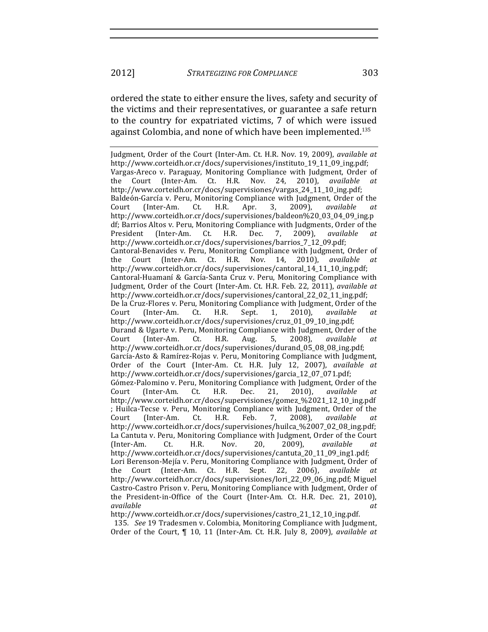ordered the state to either ensure the lives, safety and security of the victims and their representatives, or guarantee a safe return to the country for expatriated victims, 7 of which were issued against Colombia, and none of which have been implemented.<sup>135</sup>

http://www.corteidh.or.cr/docs/supervisiones/castro\_21\_12\_10\_ing.pdf.

135. *See* 19 Tradesmen v. Colombia, Monitoring Compliance with Judgment, Order of the Court, ¶ 10, 11 (Inter-Am. Ct. H.R. July 8, 2009), *available at* 

Judgment, Order of the Court (Inter-Am. Ct. H.R. Nov. 19, 2009), *available at* http://www.corteidh.or.cr/docs/supervisiones/instituto\_19\_11\_09\_ing.pdf; Vargas-Areco v. Paraguay, Monitoring Compliance with Judgment, Order of the Court (Inter-Am. Ct. H.R. Nov. 24, 2010), *available at* http://www.corteidh.or.cr/docs/supervisiones/vargas\_24\_11\_10\_ing.pdf; Baldeón-García v. Peru, Monitoring Compliance with Judgment, Order of the Court (Inter-Am. Ct. H.R. Apr. 3, 2009), *available at* http://www.corteidh.or.cr/docs/supervisiones/baldeon%20\_03\_04\_09\_ing.p df; Barrios Altos v. Peru, Monitoring Compliance with Judgments, Order of the President (Inter-Am. Ct. H.R. Dec. 7, 2009), *available at* http://www.corteidh.or.cr/docs/supervisiones/barrios\_7\_12\_09.pdf; Cantoral-Benavides v. Peru, Monitoring Compliance with Judgment, Order of the Court (Inter-Am. Ct. H.R. Nov. 14, 2010), *available at* http://www.corteidh.or.cr/docs/supervisiones/cantoral\_14\_11\_10\_ing.pdf; Cantoral-Huamaní & García-Santa Cruz v. Peru, Monitoring Compliance with Judgment, Order of the Court (Inter-Am. Ct. H.R. Feb. 22, 2011), *available at* http://www.corteidh.or.cr/docs/supervisiones/cantoral\_22\_02\_11\_ing.pdf;! De la Cruz-Flores v. Peru, Monitoring Compliance with Judgment, Order of the Court (Inter-Am. Ct. H.R. Sept. 1, 2010), *available at* http://www.corteidh.or.cr/docs/supervisiones/cruz\_01\_09\_10\_ing.pdf; Durand & Ugarte v. Peru, Monitoring Compliance with Judgment, Order of the Court (Inter-Am. Ct. H.R. Aug. 5, 2008), *available at* http://www.corteidh.or.cr/docs/supervisiones/durand\_05\_08\_08\_ing.pdf; García-Asto & Ramírez-Rojas v. Peru, Monitoring Compliance with Judgment, Order of the Court (Inter-Am. Ct. H.R. July 12, 2007), *available at* http://www.corteidh.or.cr/docs/supervisiones/garcia\_12\_07\_071.pdf; Gómez-Palomino v. Peru, Monitoring Compliance with Judgment, Order of the Court (Inter-Am. Ct. H.R. Dec. 21, 2010), *available at* http://www.corteidh.or.cr/docs/supervisiones/gomez\_%2021\_12\_10\_ing.pdf ; Huilca-Tecse v. Peru, Monitoring Compliance with Judgment, Order of the Court (Inter-Am. Ct. H.R. Feb. 7, 2008), *available at* http://www.corteidh.or.cr/docs/supervisiones/huilca\_%2007\_02\_08\_ing.pdf; La Cantuta v. Peru, Monitoring Compliance with Judgment, Order of the Court (Inter-Am. Ct. H.R. Nov. 20, 2009), *available at* http://www.corteidh.or.cr/docs/supervisiones/cantuta\_20\_11\_09\_ing1.pdf; Lori Berenson-Mejía v. Peru, Monitoring Compliance with Judgment, Order of the Court (Inter-Am. Ct. H.R. Sept. 22, 2006), *available at* http://www.corteidh.or.cr/docs/supervisiones/lori\_22\_09\_06\_ing.pdf; Miguel Castro-Castro Prison v. Peru, Monitoring Compliance with Judgment, Order of the President-in-Office of the Court (Inter-Am. Ct. H.R. Dec. 21, 2010), *available! at*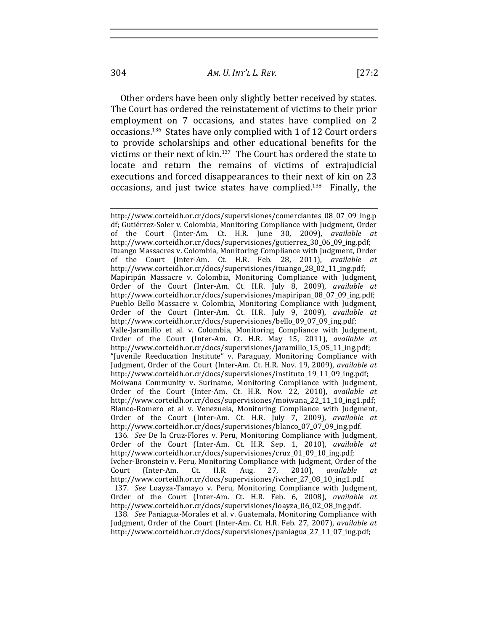Other orders have been only slightly better received by states. The Court has ordered the reinstatement of victims to their prior employment on 7 occasions, and states have complied on 2 occasions.<sup>136</sup> States have only complied with 1 of 12 Court orders to provide scholarships and other educational benefits for the victims or their next of kin.<sup>137</sup> The Court has ordered the state to locate and return the remains of victims of extrajudicial executions and forced disappearances to their next of kin on 23 occasions, and just twice states have complied. $138$  Finally, the

http://www.corteidh.or.cr/docs/supervisiones/comerciantes\_08\_07\_09\_ing.p df; Gutiérrez-Soler v. Colombia, Monitoring Compliance with Judgment, Order of the Court (Inter-Am. Ct. H.R. June 30, 2009), *available at* http://www.corteidh.or.cr/docs/supervisiones/gutierrez\_30\_06\_09\_ing.pdf; Ituango Massacres v. Colombia, Monitoring Compliance with Judgment, Order of the Court (Inter-Am. Ct. H.R. Feb. 28, 2011), *available at* http://www.corteidh.or.cr/docs/supervisiones/ituango\_28\_02\_11\_ing.pdf; Mapiripán Massacre v. Colombia, Monitoring Compliance with Judgment, Order of the Court (Inter-Am. Ct. H.R. July 8, 2009), *available at* http://www.corteidh.or.cr/docs/supervisiones/mapiripan\_08\_07\_09\_ing.pdf; Pueblo Bello Massacre v. Colombia, Monitoring Compliance with Judgment, Order of the Court (Inter-Am. Ct. H.R. July 9, 2009), *available at* http://www.corteidh.or.cr/docs/supervisiones/bello\_09\_07\_09\_ing.pdf; Valle-Jaramillo et al. v. Colombia, Monitoring Compliance with Judgment, Order of the Court (Inter-Am. Ct. H.R. May 15, 2011), *available at* http://www.corteidh.or.cr/docs/supervisiones/jaramillo\_15\_05\_11\_ing.pdf; "Juvenile Reeducation Institute" v. Paraguay, Monitoring Compliance with Judgment, Order of the Court (Inter-Am. Ct. H.R. Nov. 19, 2009), *available at* http://www.corteidh.or.cr/docs/supervisiones/instituto\_19\_11\_09\_ing.pdf; Moiwana Community v. Suriname, Monitoring Compliance with Judgment, Order of the Court (Inter-Am. Ct. H.R. Nov. 22, 2010), *available at* http://www.corteidh.or.cr/docs/supervisiones/moiwana\_22\_11\_10\_ing1.pdf; Blanco-Romero et al v. Venezuela, Monitoring Compliance with Judgment, Order of the Court (Inter-Am. Ct. H.R. July 7, 2009), *available at* http://www.corteidh.or.cr/docs/supervisiones/blanco\_07\_07\_09\_ing.pdf. 136. *See* De la Cruz-Flores v. Peru, Monitoring Compliance with Judgment, Order of the Court (Inter-Am. Ct. H.R. Sep. 1, 2010), *available at* http://www.corteidh.or.cr/docs/supervisiones/cruz\_01\_09\_10\_ing.pdf; Ivcher-Bronstein v. Peru, Monitoring Compliance with Judgment, Order of the Court (Inter-Am. Ct. H.R. Aug. 27, 2010), *available at* http://www.corteidh.or.cr/docs/supervisiones/ivcher\_27\_08\_10\_ing1.pdf. 137*. See* Loayza-Tamayo v. Peru, Monitoring Compliance with Judgment, Order of the Court (Inter-Am. Ct. H.R. Feb. 6, 2008), *available at* http://www.corteidh.or.cr/docs/supervisiones/loayza\_06\_02\_08\_ing.pdf. 138. *See* Paniagua-Morales et al. v. Guatemala, Monitoring Compliance with Judgment, Order of the Court (Inter-Am. Ct. H.R. Feb. 27, 2007), *available at* 

http://www.corteidh.or.cr/docs/supervisiones/paniagua\_27\_11\_07\_ing.pdf;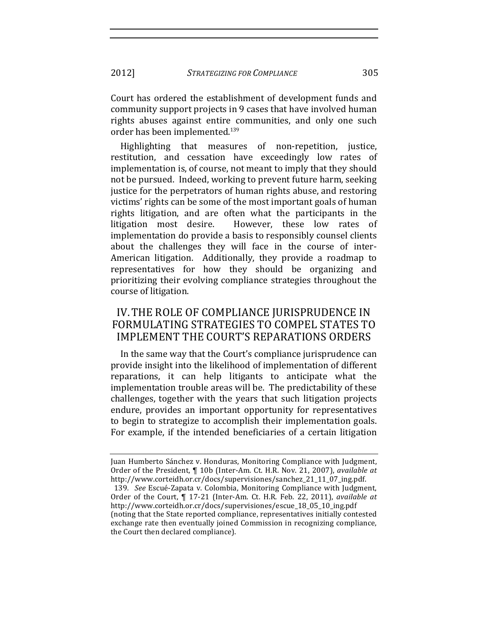Court has ordered the establishment of development funds and community support projects in 9 cases that have involved human rights abuses against entire communities, and only one such order has been implemented.<sup>139</sup>

Highlighting that measures of non-repetition, justice, restitution, and cessation have exceedingly low rates of implementation is, of course, not meant to imply that they should not be pursued. Indeed, working to prevent future harm, seeking justice for the perpetrators of human rights abuse, and restoring victims' rights can be some of the most important goals of human rights litigation, and are often what the participants in the litigation most desire. However, these low rates of implementation do provide a basis to responsibly counsel clients about the challenges they will face in the course of inter-American litigation. Additionally, they provide a roadmap to representatives for how they should be organizing and prioritizing their evolving compliance strategies throughout the course of litigation.

# IV. THE ROLE OF COMPLIANCE JURISPRUDENCE IN FORMULATING STRATEGIES TO COMPEL STATES TO IMPLEMENT THE COURT'S REPARATIONS ORDERS

In the same way that the Court's compliance jurisprudence can provide insight into the likelihood of implementation of different reparations, it can help litigants to anticipate what the implementation trouble areas will be. The predictability of these challenges, together with the years that such litigation projects endure, provides an important opportunity for representatives to begin to strategize to accomplish their implementation goals. For example, if the intended beneficiaries of a certain litigation

Juan Humberto Sánchez v. Honduras, Monitoring Compliance with Judgment, Order of the President, ¶ 10b (Inter-Am. Ct. H.R. Nov. 21, 2007), *available at* http://www.corteidh.or.cr/docs/supervisiones/sanchez\_21\_11\_07\_ing.pdf.

<sup>139.</sup> *See* Escué-Zapata v. Colombia, Monitoring Compliance with Judgment, Order of the Court, ¶ 17-21 (Inter-Am. Ct. H.R. Feb. 22, 2011), *available at* http://www.corteidh.or.cr/docs/supervisiones/escue\_18\_05\_10\_ing.pdf (noting that the State reported compliance, representatives initially contested exchange rate then eventually joined Commission in recognizing compliance, the Court then declared compliance).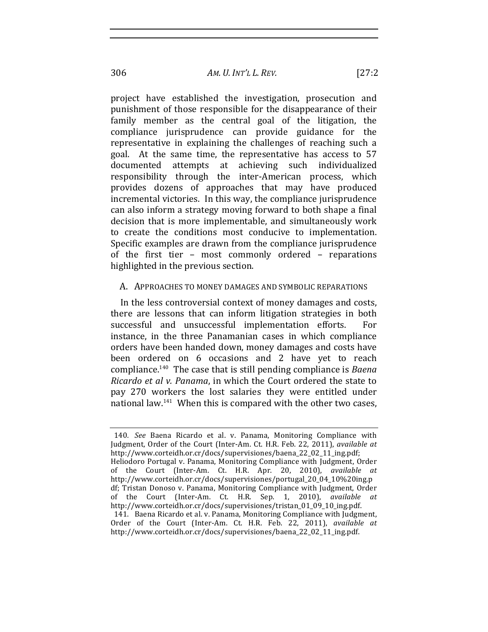project have established the investigation, prosecution and punishment of those responsible for the disappearance of their family member as the central goal of the litigation, the compliance jurisprudence can provide guidance for the representative in explaining the challenges of reaching such a goal. At the same time, the representative has access to 57 documented attempts at achieving such individualized responsibility through the inter-American process, which provides dozens of approaches that may have produced incremental victories. In this way, the compliance jurisprudence can also inform a strategy moving forward to both shape a final decision that is more implementable, and simultaneously work to create the conditions most conducive to implementation. Specific examples are drawn from the compliance jurisprudence of the first tier – most commonly ordered – reparations highlighted in the previous section.

#### A. APPROACHES TO MONEY DAMAGES AND SYMBOLIC REPARATIONS

In the less controversial context of money damages and costs, there are lessons that can inform litigation strategies in both successful and unsuccessful implementation efforts. For instance, in the three Panamanian cases in which compliance orders have been handed down, money damages and costs have been ordered on 6 occasions and 2 have yet to reach compliance.<sup>140</sup> The case that is still pending compliance is *Baena Ricardo et al v. Panama*, in which the Court ordered the state to pay 270 workers the lost salaries they were entitled under national law.<sup>141</sup> When this is compared with the other two cases,

<sup>140.</sup> *See* Baena Ricardo et al. v. Panama, Monitoring Compliance with Judgment, Order of the Court (Inter-Am. Ct. H.R. Feb. 22, 2011), *available at* http://www.corteidh.or.cr/docs/supervisiones/baena\_22\_02\_11\_ing.pdf; Heliodoro Portugal v. Panama, Monitoring Compliance with Judgment, Order of the Court (Inter-Am. Ct. H.R. Apr. 20, 2010), *available at* http://www.corteidh.or.cr/docs/supervisiones/portugal\_20\_04\_10%20ing.p df; Tristan Donoso v. Panama, Monitoring Compliance with Judgment, Order of the Court (Inter-Am. Ct. H.R. Sep. 1, 2010), *available at* http://www.corteidh.or.cr/docs/supervisiones/tristan\_01\_09\_10\_ing.pdf. 141. Baena Ricardo et al. v. Panama, Monitoring Compliance with Judgment, Order of the Court (Inter-Am. Ct. H.R. Feb. 22, 2011), *available at* http://www.corteidh.or.cr/docs/supervisiones/baena\_22\_02\_11\_ing.pdf.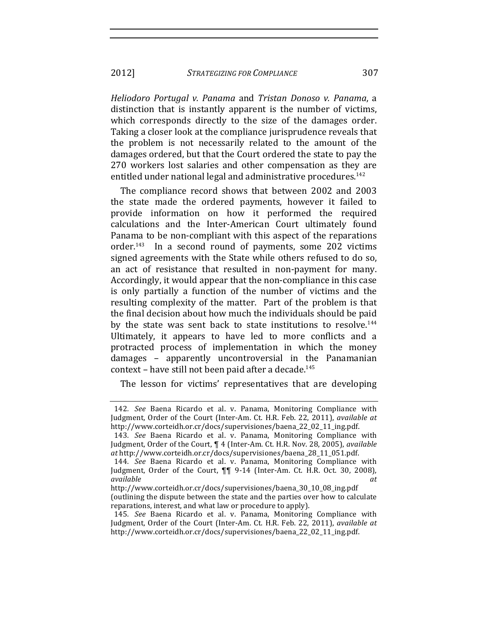#### 2012] *STRATEGIZING FOR COMPLIANCE* 307

*Heliodoro! Portugal! v.! Panama*! and! *Tristan! Donoso! v.! Panama*,! a! distinction that is instantly apparent is the number of victims, which corresponds directly to the size of the damages order. Taking a closer look at the compliance jurisprudence reveals that the problem is not necessarily related to the amount of the damages ordered, but that the Court ordered the state to pay the 270 workers lost salaries and other compensation as they are entitled under national legal and administrative procedures.<sup>142</sup>

The compliance record shows that between 2002 and 2003 the state made the ordered payments, however it failed to provide information on how it performed the required calculations and the Inter-American Court ultimately found Panama to be non-compliant with this aspect of the reparations order. $143$  In a second round of payments, some 202 victims signed agreements with the State while others refused to do so, an act of resistance that resulted in non-payment for many. Accordingly, it would appear that the non-compliance in this case is only partially a function of the number of victims and the resulting complexity of the matter. Part of the problem is that the final decision about how much the individuals should be paid by the state was sent back to state institutions to resolve.<sup>144</sup> Ultimately, it appears to have led to more conflicts and a protracted process of implementation in which the money damages – apparently uncontroversial in the Panamanian context – have still not been paid after a decade.<sup>145</sup>

The lesson for victims' representatives that are developing

<sup>142.</sup> *See* Baena Ricardo et al. v. Panama, Monitoring Compliance with Judgment, Order of the Court (Inter-Am. Ct. H.R. Feb. 22, 2011), *available at* http://www.corteidh.or.cr/docs/supervisiones/baena\_22\_02\_11\_ing.pdf.

<sup>143.</sup> See Baena Ricardo et al. v. Panama, Monitoring Compliance with Judgment, Order of the Court, ¶ 4 (Inter-Am. Ct. H.R. Nov. 28, 2005), *available at*!http://www.corteidh.or.cr/docs/supervisiones/baena\_28\_11\_051.pdf.

<sup>144.</sup> *See* Baena Ricardo et al. v. Panama, Monitoring Compliance with Judgment, Order of the Court,  $\P\P$  9-14 (Inter-Am. Ct. H.R. Oct. 30, 2008), *available! at*

http://www.corteidh.or.cr/docs/supervisiones/baena\_30\_10\_08\_ing.pdf! (outlining the dispute between the state and the parties over how to calculate reparations, interest, and what law or procedure to apply).

<sup>145.</sup> See Baena Ricardo et al. v. Panama, Monitoring Compliance with Judgment, Order of the Court (Inter-Am. Ct. H.R. Feb. 22, 2011), *available at* http://www.corteidh.or.cr/docs/supervisiones/baena\_22\_02\_11\_ing.pdf.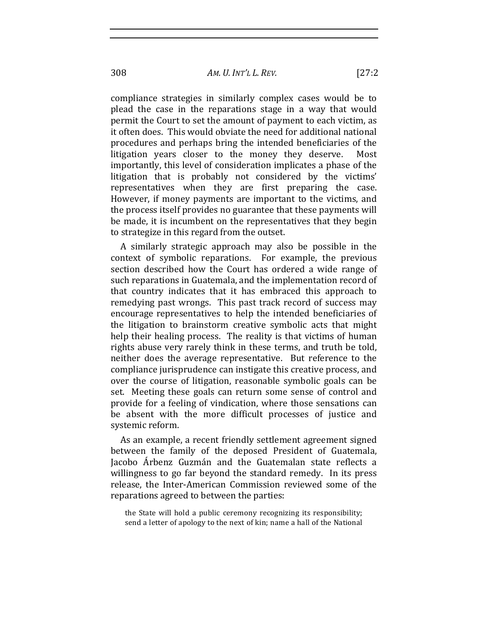compliance strategies in similarly complex cases would be to plead the case in the reparations stage in a way that would permit the Court to set the amount of payment to each victim, as it often does. This would obviate the need for additional national procedures and perhaps bring the intended beneficiaries of the litigation years closer to the money they deserve. Most importantly, this level of consideration implicates a phase of the litigation that is probably not considered by the victims' representatives when they are first preparing the case. However, if money payments are important to the victims, and the process itself provides no guarantee that these payments will be made, it is incumbent on the representatives that they begin to strategize in this regard from the outset.

A similarly strategic approach may also be possible in the context of symbolic reparations. For example, the previous section described how the Court has ordered a wide range of such reparations in Guatemala, and the implementation record of that country indicates that it has embraced this approach to remedying past wrongs. This past track record of success may encourage representatives to help the intended beneficiaries of the litigation to brainstorm creative symbolic acts that might help their healing process. The reality is that victims of human rights abuse very rarely think in these terms, and truth be told, neither does the average representative. But reference to the compliance jurisprudence can instigate this creative process, and over the course of litigation, reasonable symbolic goals can be set. Meeting these goals can return some sense of control and provide for a feeling of vindication, where those sensations can be absent with the more difficult processes of justice and systemic reform.

As an example, a recent friendly settlement agreement signed between the family of the deposed President of Guatemala, Jacobo Árbenz Guzmán and the Guatemalan state reflects a willingness to go far beyond the standard remedy. In its press release, the Inter-American Commission reviewed some of the reparations agreed to between the parties:

the State will hold a public ceremony recognizing its responsibility; send a letter of apology to the next of kin; name a hall of the National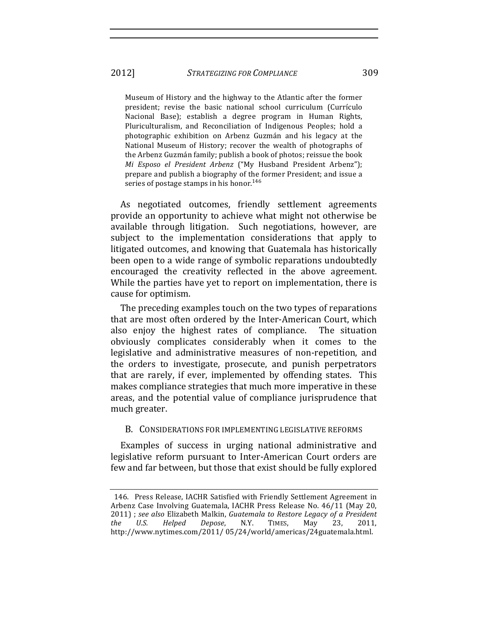Museum of History and the highway to the Atlantic after the former president; revise the basic national school curriculum (Currículo Nacional Base); establish a degree program in Human Rights, Pluriculturalism, and Reconciliation of Indigenous Peoples; hold a photographic exhibition on Arbenz Guzmán and his legacy at the National Museum of History; recover the wealth of photographs of the Arbenz Guzmán family; publish a book of photos; reissue the book *Mi Esposo el President Arbenz* ("My Husband President Arbenz"); prepare and publish a biography of the former President; and issue a series of postage stamps in his honor.<sup>146</sup>

As negotiated outcomes, friendly settlement agreements provide an opportunity to achieve what might not otherwise be available through litigation. Such negotiations, however, are subject to the implementation considerations that apply to litigated outcomes, and knowing that Guatemala has historically been open to a wide range of symbolic reparations undoubtedly encouraged the creativity reflected in the above agreement. While the parties have yet to report on implementation, there is cause for optimism.

The preceding examples touch on the two types of reparations that are most often ordered by the Inter-American Court, which also enjoy the highest rates of compliance. The situation obviously complicates considerably when it comes to the legislative and administrative measures of non-repetition, and the orders to investigate, prosecute, and punish perpetrators that are rarely, if ever, implemented by offending states. This makes compliance strategies that much more imperative in these areas, and the potential value of compliance jurisprudence that much greater.

#### B. CONSIDERATIONS FOR IMPLEMENTING LEGISLATIVE REFORMS

Examples of success in urging national administrative and legislative reform pursuant to Inter-American Court orders are few and far between, but those that exist should be fully explored

<sup>146.</sup> Press Release, IACHR Satisfied with Friendly Settlement Agreement in Arbenz Case Involving Guatemala, IACHR Press Release No. 46/11 (May 20, 2011) ; *see also* Elizabeth Malkin, *Guatemala to Restore Legacy of a President the! U.S.! Helped! Depose*,! N.Y. TIMES,! May! 23,! 2011,! http://www.nytimes.com/2011/ 05/24/world/americas/24guatemala.html.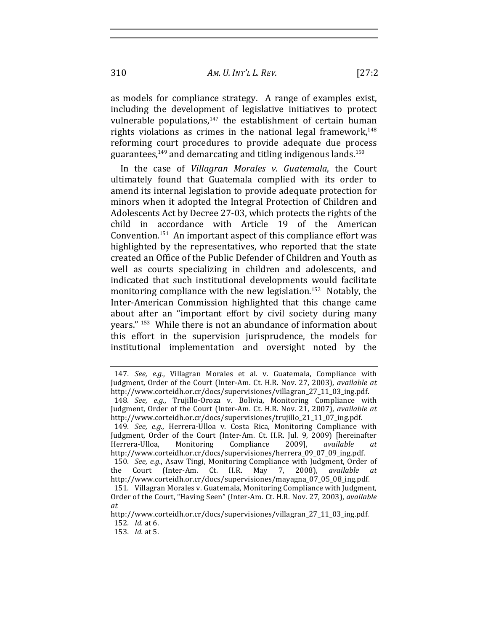310 *AM. U. INT'L!L. REV.* [27:2

as models for compliance strategy. A range of examples exist, including the development of legislative initiatives to protect vulnerable populations, $147$  the establishment of certain human rights violations as crimes in the national legal framework, $148$ reforming court procedures to provide adequate due process guarantees, $149$  and demarcating and titling indigenous lands.<sup>150</sup>

In the case of *Villagran Morales v. Guatemala*, the Court ultimately found that Guatemala complied with its order to amend its internal legislation to provide adequate protection for minors when it adopted the Integral Protection of Children and Adolescents Act by Decree 27-03, which protects the rights of the child in accordance with Article 19 of the American Convention.<sup>151</sup> An important aspect of this compliance effort was highlighted by the representatives, who reported that the state created an Office of the Public Defender of Children and Youth as well as courts specializing in children and adolescents, and indicated that such institutional developments would facilitate monitoring compliance with the new legislation.<sup>152</sup> Notably, the Inter-American Commission highlighted that this change came about after an "important effort by civil society during many years."<sup>153</sup> While there is not an abundance of information about this effort in the supervision jurisprudence, the models for institutional implementation and oversight noted by the

150. *See, e.g.*, Asaw Tingi, Monitoring Compliance with Judgment, Order of the Court (Inter-Am. Ct. H.R. May 7, 2008), *available at* http://www.corteidh.or.cr/docs/supervisiones/mayagna\_07\_05\_08\_ing.pdf.

<sup>147</sup>*. See, e.g.*, Villagran Morales et al. v. Guatemala, Compliance with Judgment, Order of the Court (Inter-Am. Ct. H.R. Nov. 27, 2003), *available at* http://www.corteidh.or.cr/docs/supervisiones/villagran\_27\_11\_03\_ing.pdf. 148*. See, e.g.*, Trujillo-Oroza v. Bolivia, Monitoring Compliance with Judgment, Order of the Court (Inter-Am. Ct. H.R. Nov. 21, 2007), *available at* http://www.corteidh.or.cr/docs/supervisiones/trujillo\_21\_11\_07\_ing.pdf. 149. See, e.g., Herrera-Ulloa v. Costa Rica, Monitoring Compliance with

Judgment, Order of the Court (Inter-Am. Ct. H.R. Jul. 9, 2009) [hereinafter Herrera-Ulloa, Monitoring Compliance 2009], *available at* http://www.corteidh.or.cr/docs/supervisiones/herrera\_09\_07\_09\_ing.pdf.

<sup>151.</sup> Villagran Morales v. Guatemala, Monitoring Compliance with Judgment, Order of the Court, "Having Seen" (Inter-Am. Ct. H.R. Nov. 27, 2003), *available at*

http://www.corteidh.or.cr/docs/supervisiones/villagran\_27\_11\_03\_ing.pdf. 152. *Id.* at 6.

<sup>153</sup>*. Id.* at!5.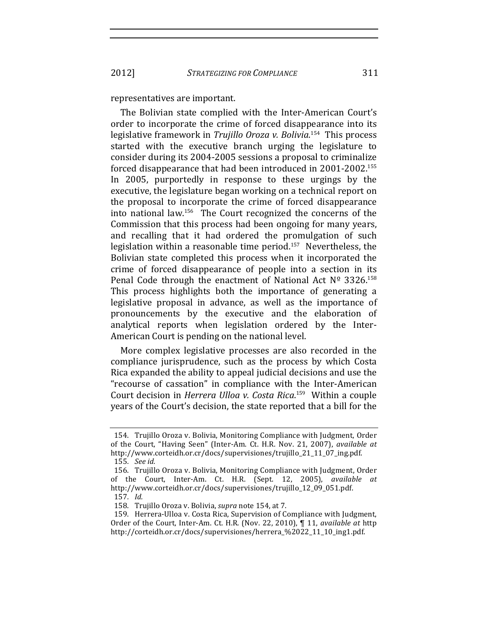#### representatives are important.

The Bolivian state complied with the Inter-American Court's order to incorporate the crime of forced disappearance into its legislative framework in *Trujillo Oroza v. Bolivia*.<sup>154</sup> This process started with the executive branch urging the legislature to consider during its 2004-2005 sessions a proposal to criminalize forced disappearance that had been introduced in  $2001-2002$ <sup>155</sup> In 2005, purportedly in response to these urgings by the executive, the legislature began working on a technical report on the proposal to incorporate the crime of forced disappearance into national law.<sup>156</sup> The Court recognized the concerns of the Commission that this process had been ongoing for many years, and recalling that it had ordered the promulgation of such legislation within a reasonable time period.<sup>157</sup> Nevertheless, the Bolivian state completed this process when it incorporated the crime of forced disappearance of people into a section in its Penal Code through the enactment of National Act  $N<sup>o</sup>$  3326.<sup>158</sup> This process highlights both the importance of generating a legislative proposal in advance, as well as the importance of pronouncements by the executive and the elaboration of analytical reports when legislation ordered by the Inter-American Court is pending on the national level.

More complex legislative processes are also recorded in the compliance jurisprudence, such as the process by which Costa Rica expanded the ability to appeal judicial decisions and use the "recourse of cassation" in compliance with the Inter-American Court decision in *Herrera Ulloa v. Costa Rica*.<sup>159</sup> Within a couple years of the Court's decision, the state reported that a bill for the

<sup>154.</sup> Trujillo Oroza v. Bolivia, Monitoring Compliance with Judgment, Order of the Court, "Having Seen" (Inter-Am. Ct. H.R. Nov. 21, 2007), *available at* http://www.corteidh.or.cr/docs/supervisiones/trujillo\_21\_11\_07\_ing.pdf. 155*. See id.*

<sup>156.</sup> Trujillo Oroza v. Bolivia, Monitoring Compliance with Judgment, Order of the Court, Inter-Am. Ct. H.R. (Sept. 12, 2005), *available at* http://www.corteidh.or.cr/docs/supervisiones/trujillo\_12\_09\_051.pdf.

<sup>157</sup>*. Id.*

<sup>158.</sup> Trujillo Oroza v. Bolivia, *supra* note 154, at 7.

<sup>159.</sup> Herrera-Ulloa v. Costa Rica, Supervision of Compliance with Judgment, Order of the Court, Inter-Am. Ct. H.R. (Nov. 22, 2010), ¶ 11, *available at* http http://corteidh.or.cr/docs/supervisiones/herrera\_%2022\_11\_10\_ing1.pdf.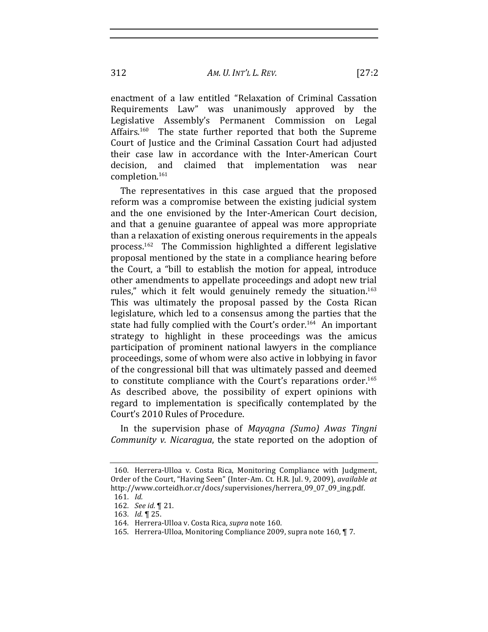enactment of a law entitled "Relaxation of Criminal Cassation Requirements Law" was unanimously approved by the Legislative Assembly's Permanent Commission on Legal Affairs.<sup>160</sup> The state further reported that both the Supreme Court of Justice and the Criminal Cassation Court had adjusted their case law in accordance with the Inter-American Court decision, and claimed that implementation was near completion.<sup>161</sup>

The representatives in this case argued that the proposed reform was a compromise between the existing judicial system and the one envisioned by the Inter-American Court decision, and that a genuine guarantee of appeal was more appropriate than a relaxation of existing onerous requirements in the appeals process.<sup>162</sup> The Commission highlighted a different legislative proposal mentioned by the state in a compliance hearing before the Court, a "bill to establish the motion for appeal, introduce other amendments to appellate proceedings and adopt new trial rules," which it felt would genuinely remedy the situation.<sup>163</sup> This was ultimately the proposal passed by the Costa Rican legislature, which led to a consensus among the parties that the state had fully complied with the Court's order.<sup>164</sup> An important strategy to highlight in these proceedings was the amicus participation of prominent national lawyers in the compliance proceedings, some of whom were also active in lobbying in favor of the congressional bill that was ultimately passed and deemed to constitute compliance with the Court's reparations order.<sup>165</sup> As described above, the possibility of expert opinions with regard to implementation is specifically contemplated by the Court's 2010 Rules of Procedure.

In! the! supervision! phase! of! *Mayagna! (Sumo)! Awas! Tingni! Community v. Nicaragua*, the state reported on the adoption of

<sup>160.</sup> Herrera-Ulloa v. Costa Rica, Monitoring Compliance with Judgment, Order of the Court, "Having Seen" (Inter-Am. Ct. H.R. Jul. 9, 2009), *available at* http://www.corteidh.or.cr/docs/supervisiones/herrera\_09\_07\_09\_ing.pdf.

<sup>161</sup>*. Id.*

<sup>162.</sup> *See id.* 1 21.

<sup>163.</sup> *Id.* 125.

<sup>164.</sup> Herrera-Ulloa v. Costa Rica, *supra* note 160.

<sup>165.</sup> Herrera-Ulloa, Monitoring Compliance 2009, supra note 160, ¶ 7.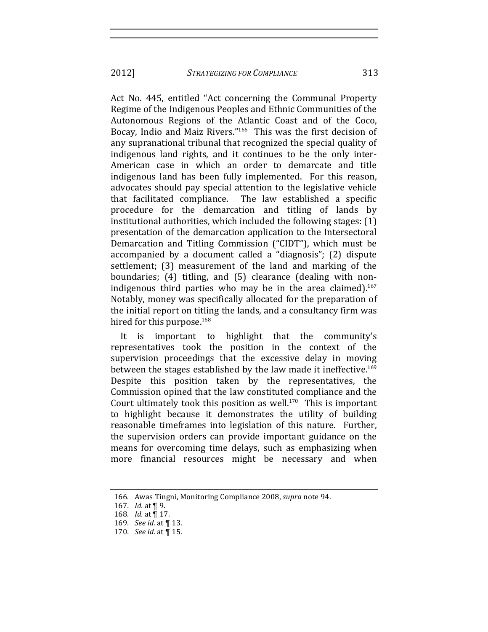Act No. 445, entitled "Act concerning the Communal Property Regime of the Indigenous Peoples and Ethnic Communities of the Autonomous Regions of the Atlantic Coast and of the Coco, Bocay, Indio and Maiz Rivers."<sup>166</sup> This was the first decision of any supranational tribunal that recognized the special quality of indigenous land rights, and it continues to be the only inter-American case in which an order to demarcate and title indigenous land has been fully implemented. For this reason, advocates should pay special attention to the legislative vehicle that facilitated compliance. The law established a specific procedure for the demarcation and titling of lands by institutional authorities, which included the following stages:  $(1)$ presentation of the demarcation application to the Intersectoral Demarcation and Titling Commission ("CIDT"), which must be accompanied by a document called a "diagnosis"; (2) dispute settlement; (3) measurement of the land and marking of the boundaries; (4) titling, and (5) clearance (dealing with nonindigenous third parties who may be in the area claimed).<sup>167</sup> Notably, money was specifically allocated for the preparation of the initial report on titling the lands, and a consultancy firm was hired for this purpose. $168$ 

It is important to highlight that the community's representatives took the position in the context of the supervision proceedings that the excessive delay in moving between the stages established by the law made it ineffective.<sup>169</sup> Despite this position taken by the representatives, the Commission opined that the law constituted compliance and the Court ultimately took this position as well.<sup>170</sup> This is important to highlight because it demonstrates the utility of building reasonable timeframes into legislation of this nature. Further, the supervision orders can provide important guidance on the means for overcoming time delays, such as emphasizing when more financial resources might be necessary and when

<sup>166.</sup> Awas Tingni, Monitoring Compliance 2008, *supra* note 94.

<sup>167.</sup> *Id.* at  $\P$  9.

<sup>168.</sup> *Id.* at  $\overline{$  17.

<sup>169.</sup> *See id.* at  $\P$  13.

<sup>170</sup>*. See id.* at  $\P$  15.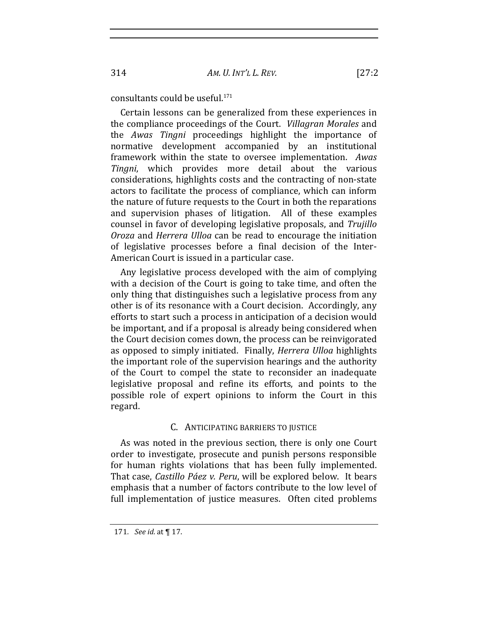consultants could be useful.<sup>171</sup>

Certain lessons can be generalized from these experiences in the compliance proceedings of the Court. Villagran Morales and the Awas Tingni proceedings highlight the importance of normative development accompanied by an institutional framework within the state to oversee implementation. Awas Tingni, which provides more detail about the various considerations, highlights costs and the contracting of non-state actors to facilitate the process of compliance, which can inform the nature of future requests to the Court in both the reparations and supervision phases of litigation. All of these examples counsel in favor of developing legislative proposals, and Trujillo Oroza and Herrera Ulloa can be read to encourage the initiation of legislative processes before a final decision of the Inter-American Court is issued in a particular case.

Any legislative process developed with the aim of complying with a decision of the Court is going to take time, and often the only thing that distinguishes such a legislative process from any other is of its resonance with a Court decision. Accordingly, any efforts to start such a process in anticipation of a decision would be important, and if a proposal is already being considered when the Court decision comes down, the process can be reinvigorated as opposed to simply initiated. Finally, *Herrera Ulloa* highlights the important role of the supervision hearings and the authority of the Court to compel the state to reconsider an inadequate legislative proposal and refine its efforts, and points to the possible role of expert opinions to inform the Court in this regard.

### C. ANTICIPATING BARRIERS TO JUSTICE

As was noted in the previous section, there is only one Court order to investigate, prosecute and punish persons responsible for human rights violations that has been fully implemented. That case, Castillo Páez v. Peru, will be explored below. It bears emphasis that a number of factors contribute to the low level of full implementation of justice measures. Often cited problems

 $[27:2]$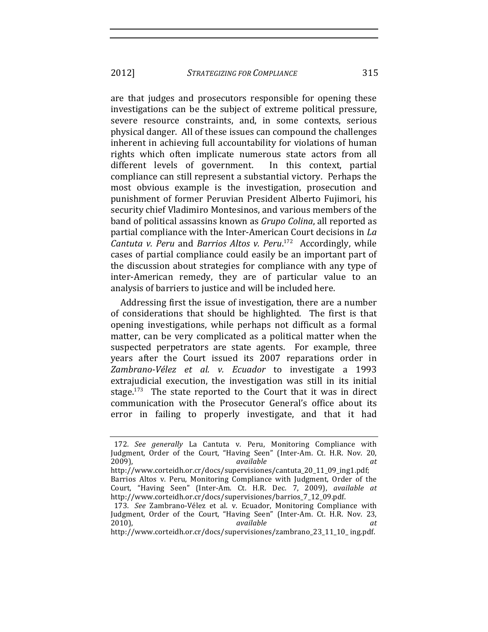2012] *STRATEGIZING FOR COMPLIANCE* 315

are that judges and prosecutors responsible for opening these investigations can be the subject of extreme political pressure, severe resource constraints, and, in some contexts, serious physical danger. All of these issues can compound the challenges inherent in achieving full accountability for violations of human rights which often implicate numerous state actors from all different levels of government. In this context, partial compliance can still represent a substantial victory. Perhaps the most obvious example is the investigation, prosecution and punishment of former Peruvian President Alberto Fujimori, his security chief Vladimiro Montesinos, and various members of the band of political assassins known as *Grupo Coling*, all reported as partial compliance with the Inter-American Court decisions in *La Cantuta v. Peru and Barrios Altos v. Peru.*<sup>172</sup> Accordingly, while cases of partial compliance could easily be an important part of the discussion about strategies for compliance with any type of inter-American remedy, they are of particular value to an analysis of barriers to justice and will be included here.

Addressing first the issue of investigation, there are a number of considerations that should be highlighted. The first is that opening investigations, while perhaps not difficult as a formal matter, can be very complicated as a political matter when the suspected perpetrators are state agents. For example, three years after the Court issued its 2007 reparations order in Zambrano-Vélez et al. v. Ecuador to investigate a 1993 extrajudicial execution, the investigation was still in its initial stage.<sup>173</sup> The state reported to the Court that it was in direct communication with the Prosecutor General's office about its error in failing to properly investigate, and that it had

<sup>172.</sup> See generally La Cantuta v. Peru, Monitoring Compliance with Judgment, Order of the Court, "Having Seen" (Inter-Am. Ct. H.R. Nov. 20, 2009),! *available! at*

http://www.corteidh.or.cr/docs/supervisiones/cantuta\_20\_11\_09\_ing1.pdf; Barrios Altos v. Peru, Monitoring Compliance with Judgment, Order of the Court, "Having Seen" (Inter-Am. Ct. H.R. Dec. 7, 2009), *available at* http://www.corteidh.or.cr/docs/supervisiones/barrios\_7\_12\_09.pdf.

<sup>173</sup>*. See* Zambrano-Vélez et al. v. Ecuador, Monitoring Compliance with Judgment, Order of the Court, "Having Seen" (Inter-Am. Ct. H.R. Nov. 23, 2010), *available at* 

http://www.corteidh.or.cr/docs/supervisiones/zambrano\_23\_11\_10\_ ing.pdf.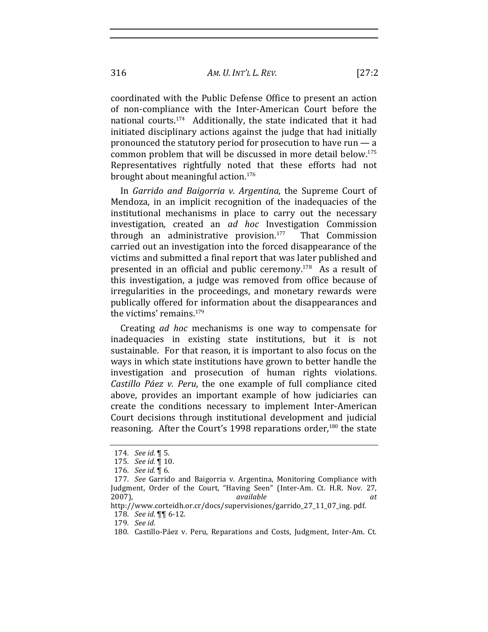316 *AM. U. INT'L!L. REV.* [27:2

coordinated with the Public Defense Office to present an action of non-compliance with the Inter-American Court before the national courts. $174$  Additionally, the state indicated that it had initiated disciplinary actions against the judge that had initially pronounced the statutory period for prosecution to have run  $-$  a common problem that will be discussed in more detail below.<sup>175</sup> Representatives rightfully noted that these efforts had not brought about meaningful action.<sup>176</sup>

In *Garrido and Baigorria v. Argentina*, the Supreme Court of Mendoza, in an implicit recognition of the inadequacies of the institutional mechanisms in place to carry out the necessary investigation, created an *ad hoc* Investigation Commission through an administrative provision.<sup>177</sup> That Commission carried out an investigation into the forced disappearance of the victims and submitted a final report that was later published and presented in an official and public ceremony.<sup>178</sup> As a result of this investigation, a judge was removed from office because of irregularities in the proceedings, and monetary rewards were publically offered for information about the disappearances and the victims' remains. $179$ 

Creating *ad hoc* mechanisms is one way to compensate for inadequacies in existing state institutions, but it is not sustainable. For that reason, it is important to also focus on the ways in which state institutions have grown to better handle the investigation and prosecution of human rights violations. *Castillo Páez v. Peru*, the one example of full compliance cited above, provides an important example of how judiciaries can create the conditions necessary to implement Inter-American Court decisions through institutional development and judicial reasoning. After the Court's 1998 reparations order, $180$  the state

<sup>174</sup>*. See id.*!¶!5.

<sup>175.</sup> *See id.* 110.

<sup>176</sup>*. See id.* 16.

<sup>177</sup>*. See* Garrido and Baigorria v. Argentina, Monitoring Compliance with Judgment, Order of the Court, "Having Seen" (Inter-Am. Ct. H.R. Nov. 27, 2007), *available* **at** *at* 

http://www.corteidh.or.cr/docs/supervisiones/garrido\_27\_11\_07\_ing. pdf. 178. *See id.*  $\P\P$  6-12.

<sup>179</sup>*. See id.*

<sup>180.</sup> Castillo-Páez v. Peru, Reparations and Costs, Judgment, Inter-Am. Ct.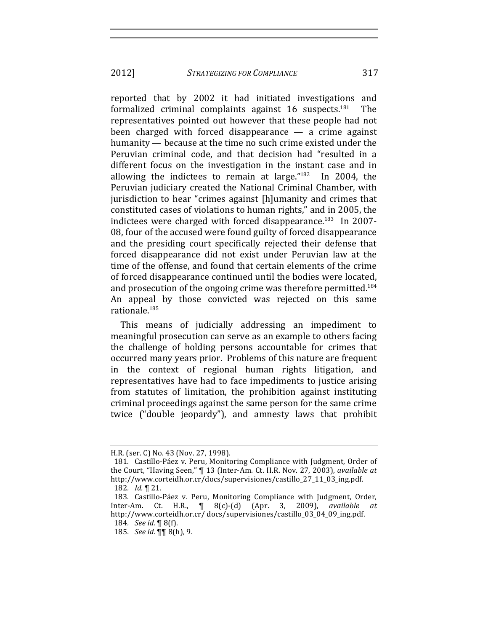2012] *STRATEGIZING FOR COMPLIANCE* 317

reported that by 2002 it had initiated investigations and formalized criminal complaints against  $16$  suspects.<sup>181</sup> The representatives pointed out however that these people had not been charged with forced disappearance  $-$  a crime against humanity — because at the time no such crime existed under the Peruvian criminal code, and that decision had "resulted in a different focus on the investigation in the instant case and in allowing the indictees to remain at large." $182$  In 2004, the Peruvian judiciary created the National Criminal Chamber, with jurisdiction to hear "crimes against [h]umanity and crimes that constituted cases of violations to human rights," and in 2005, the indictees were charged with forced disappearance.<sup>183</sup> In 2007-08, four of the accused were found guilty of forced disappearance and the presiding court specifically rejected their defense that forced disappearance did not exist under Peruvian law at the time of the offense, and found that certain elements of the crime of forced disappearance continued until the bodies were located, and prosecution of the ongoing crime was therefore permitted.<sup>184</sup> An appeal by those convicted was rejected on this same rationale.<sup>185</sup>

This means of judicially addressing an impediment to meaningful prosecution can serve as an example to others facing the challenge of holding persons accountable for crimes that occurred many years prior. Problems of this nature are frequent in the context of regional human rights litigation, and representatives have had to face impediments to justice arising from statutes of limitation, the prohibition against instituting criminal proceedings against the same person for the same crime twice ("double jeopardy"), and amnesty laws that prohibit

H.R. (ser. C) No. 43 (Nov. 27, 1998).

<sup>181.</sup> Castillo-Páez v. Peru, Monitoring Compliance with Judgment, Order of the Court, "Having Seen," **[13 (Inter-Am. Ct. H.R. Nov. 27, 2003)**, *available at* http://www.corteidh.or.cr/docs/supervisiones/castillo\_27\_11\_03\_ing.pdf. 182. *Id.* 121.

<sup>183.</sup> Castillo-Páez v. Peru, Monitoring Compliance with Judgment, Order, Inter-Am. Ct. H.R., ¶ 8(c)-(d) (Apr. 3, 2009), *available at* http://www.corteidh.or.cr/ docs/supervisiones/castillo\_03\_04\_09\_ing.pdf.

<sup>184.</sup> *See id.* ¶ 8(f).

<sup>185.</sup> *See id.*  $\P\P$  8(h), 9.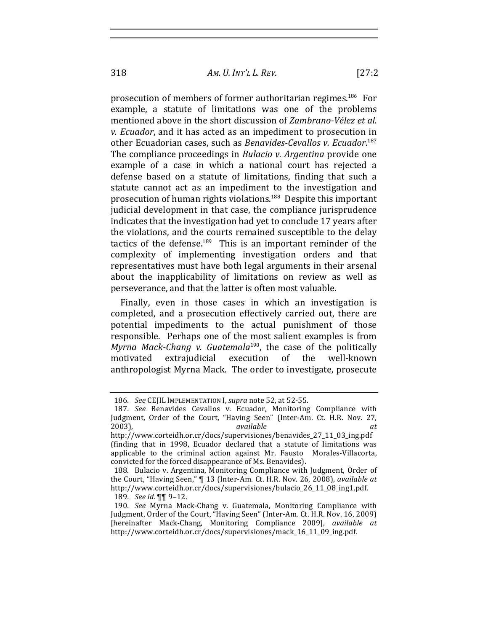318 *AM. U. INT'L!L. REV.* [27:2

prosecution of members of former authoritarian regimes.<sup>186</sup> For example, a statute of limitations was one of the problems mentioned above in the short discussion of *Zambrano-Vélez et al. v. Ecuador*, and it has acted as an impediment to prosecution in other Ecuadorian cases, such as *Benavides-Cevallos v. Ecuador*.<sup>187</sup> The compliance proceedings in *Bulacio v. Argentina* provide one example of a case in which a national court has rejected a defense based on a statute of limitations, finding that such a statute cannot act as an impediment to the investigation and prosecution of human rights violations.<sup>188</sup> Despite this important judicial development in that case, the compliance jurisprudence indicates that the investigation had yet to conclude 17 years after the violations, and the courts remained susceptible to the delav tactics of the defense. $189$  This is an important reminder of the complexity of implementing investigation orders and that representatives must have both legal arguments in their arsenal about the inapplicability of limitations on review as well as perseverance, and that the latter is often most valuable.

Finally, even in those cases in which an investigation is completed, and a prosecution effectively carried out, there are potential impediments to the actual punishment of those responsible. Perhaps one of the most salient examples is from *Myrna Mack-Chang v. Guatemala*<sup>190</sup>, the case of the politically motivated extrajudicial execution of the well-known anthropologist Myrna Mack. The order to investigate, prosecute

<sup>186.</sup> *See* CEJIL IMPLEMENTATION I, *supra* note 52, at 52-55.

<sup>187</sup>*. See* Benavides Cevallos v. Ecuador, Monitoring Compliance with Judgment, Order of the Court, "Having Seen" (Inter-Am. Ct. H.R. Nov. 27, 2003), *available available at* http://www.corteidh.or.cr/docs/supervisiones/benavides\_27\_11\_03\_ing.pdf!

<sup>(</sup>finding that in 1998, Ecuador declared that a statute of limitations was applicable to the criminal action against Mr. Fausto Morales-Villacorta, convicted for the forced disappearance of Ms. Benavides).

<sup>188.</sup> Bulacio v. Argentina, Monitoring Compliance with Judgment, Order of the Court, "Having Seen," ¶ 13 (Inter-Am. Ct. H.R. Nov. 26, 2008), *available at* http://www.corteidh.or.cr/docs/supervisiones/bulacio\_26\_11\_08\_ing1.pdf. 189*. See id.*!¶¶!9–12.

<sup>190.</sup> *See* Myrna Mack-Chang v. Guatemala, Monitoring Compliance with Judgment, Order of the Court, "Having Seen" (Inter-Am. Ct. H.R. Nov. 16, 2009) [hereinafter Mack-Chang, Monitoring Compliance 2009], *available at* http://www.corteidh.or.cr/docs/supervisiones/mack\_16\_11\_09\_ing.pdf.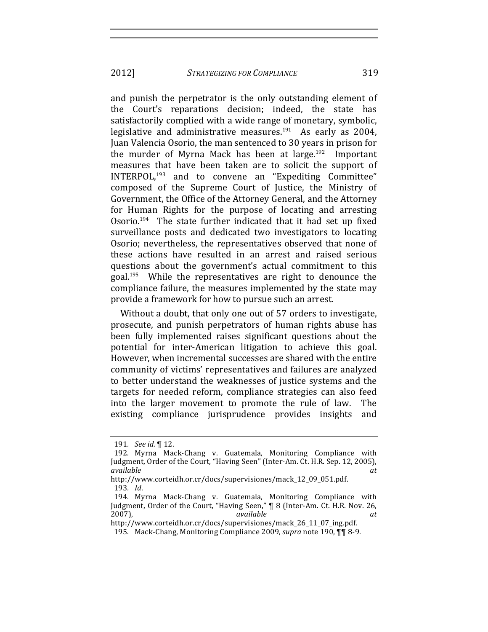2012] *STRATEGIZING FOR COMPLIANCE* 319

and punish the perpetrator is the only outstanding element of the Court's reparations decision; indeed, the state has satisfactorily complied with a wide range of monetary, symbolic, legislative and administrative measures.<sup>191</sup> As early as 2004, Juan Valencia Osorio, the man sentenced to 30 years in prison for the murder of Myrna Mack has been at large.<sup>192</sup> Important measures that have been taken are to solicit the support of INTERPOL,<sup>193</sup> and to convene an "Expediting Committee" composed of the Supreme Court of Justice, the Ministry of Government, the Office of the Attorney General, and the Attorney for Human Rights for the purpose of locating and arresting Osorio.<sup>194</sup> The state further indicated that it had set up fixed surveillance posts and dedicated two investigators to locating Osorio; nevertheless, the representatives observed that none of these actions have resulted in an arrest and raised serious questions about the government's actual commitment to this goal.<sup>195</sup> While the representatives are right to denounce the compliance failure, the measures implemented by the state may provide a framework for how to pursue such an arrest.

Without a doubt, that only one out of 57 orders to investigate, prosecute, and punish perpetrators of human rights abuse has been fully implemented raises significant questions about the potential for inter-American litigation to achieve this goal. However, when incremental successes are shared with the entire community of victims' representatives and failures are analyzed to better understand the weaknesses of justice systems and the targets for needed reform, compliance strategies can also feed into the larger movement to promote the rule of law. The existing compliance jurisprudence provides insights and

<sup>191.</sup> *See id.* 112.

<sup>192.</sup> Myrna Mack-Chang v. Guatemala, Monitoring Compliance with Judgment, Order of the Court, "Having Seen" (Inter-Am. Ct. H.R. Sep. 12, 2005), *available! at*

http://www.corteidh.or.cr/docs/supervisiones/mack\_12\_09\_051.pdf. 193*. Id*.

<sup>194.</sup> Myrna Mack-Chang v. Guatemala, Monitoring Compliance with Judgment, Order of the Court, "Having Seen," ¶ 8 (Inter-Am. Ct. H.R. Nov. 26, 2007),! *available! at*

http://www.corteidh.or.cr/docs/supervisiones/mack\_26\_11\_07\_ing.pdf.

<sup>195.</sup> Mack-Chang, Monitoring Compliance 2009, *supra* note 190, ¶¶ 8-9.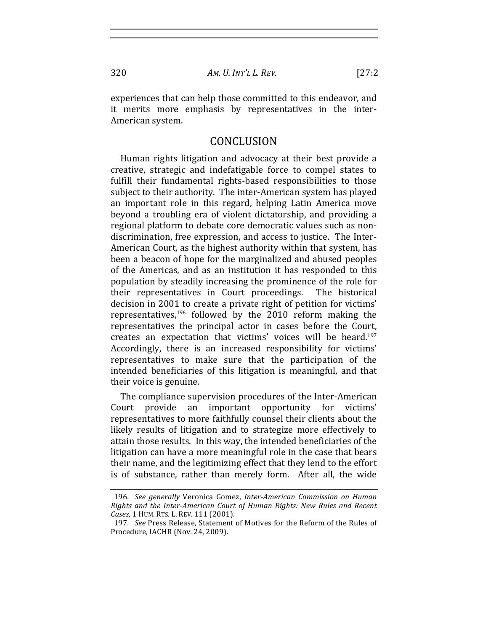experiences that can help those committed to this endeavor, and it merits more emphasis by representatives in the inter-American system.

### CONCLUSION

Human rights litigation and advocacy at their best provide a creative, strategic and indefatigable force to compel states to fulfill their fundamental rights-based responsibilities to those subject to their authority. The inter-American system has played an important role in this regard, helping Latin America move beyond a troubling era of violent dictatorship, and providing a regional platform to debate core democratic values such as nondiscrimination, free expression, and access to justice. The Inter-American Court, as the highest authority within that system, has been a beacon of hope for the marginalized and abused peoples of the Americas, and as an institution it has responded to this population by steadily increasing the prominence of the role for their representatives in Court proceedings. The historical decision in 2001 to create a private right of petition for victims' representatives,<sup>196</sup> followed by the 2010 reform making the representatives the principal actor in cases before the Court, creates an expectation that victims' voices will be heard.<sup>197</sup> Accordingly, there is an increased responsibility for victims' representatives to make sure that the participation of the intended beneficiaries of this litigation is meaningful, and that their voice is genuine.

The compliance supervision procedures of the Inter-American Court provide an important opportunity for victims' representatives to more faithfully counsel their clients about the likely results of litigation and to strategize more effectively to attain those results. In this way, the intended beneficiaries of the litigation can have a more meaningful role in the case that bears their name, and the legitimizing effect that they lend to the effort is of substance, rather than merely form. After all, the wide

320

<sup>196.</sup> See generally Veronica Gomez, Inter-American Commission on Human Rights and the Inter-American Court of Human Rights: New Rules and Recent Cases, 1 HUM. RTS. L. REV. 111 (2001).

<sup>197.</sup> See Press Release, Statement of Motives for the Reform of the Rules of Procedure, IACHR (Nov. 24, 2009).